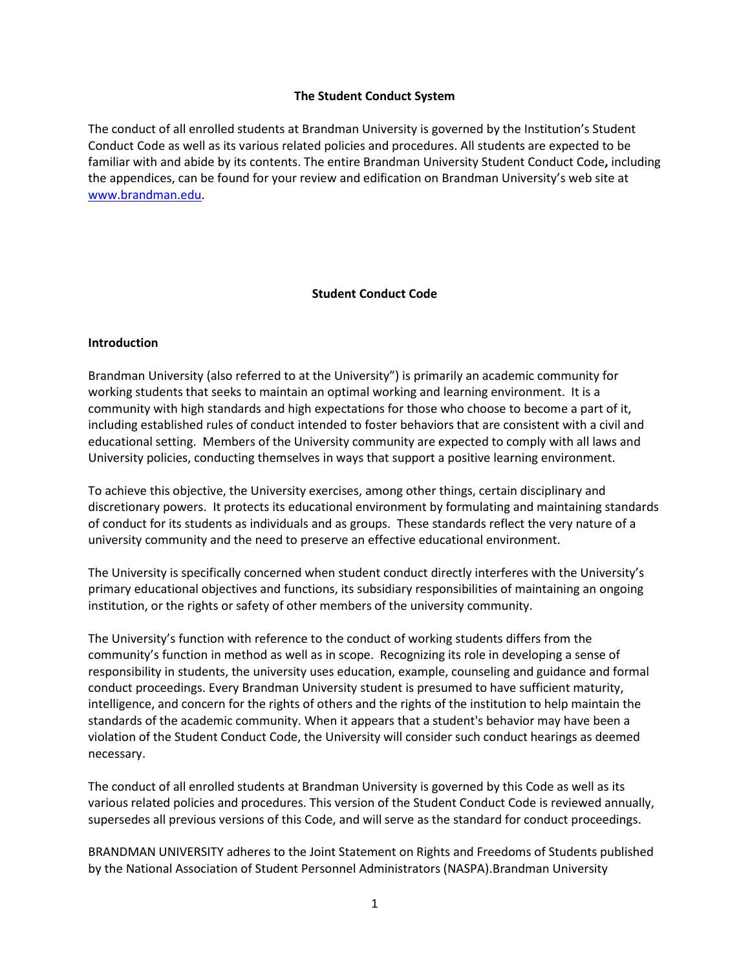#### **The Student Conduct System**

The conduct of all enrolled students at Brandman University is governed by the Institution's Student Conduct Code as well as its various related policies and procedures. All students are expected to be familiar with and abide by its contents. The entire Brandman University Student Conduct Code**,** including the appendices, can be found for your review and edification on Brandman University's web site at [www.brandman.edu.](http://www.brandman.edu/)

#### **Student Conduct Code**

#### **Introduction**

Brandman University (also referred to at the University") is primarily an academic community for working students that seeks to maintain an optimal working and learning environment. It is a community with high standards and high expectations for those who choose to become a part of it, including established rules of conduct intended to foster behaviors that are consistent with a civil and educational setting. Members of the University community are expected to comply with all laws and University policies, conducting themselves in ways that support a positive learning environment.

To achieve this objective, the University exercises, among other things, certain disciplinary and discretionary powers. It protects its educational environment by formulating and maintaining standards of conduct for its students as individuals and as groups. These standards reflect the very nature of a university community and the need to preserve an effective educational environment.

The University is specifically concerned when student conduct directly interferes with the University's primary educational objectives and functions, its subsidiary responsibilities of maintaining an ongoing institution, or the rights or safety of other members of the university community.

The University's function with reference to the conduct of working students differs from the community's function in method as well as in scope. Recognizing its role in developing a sense of responsibility in students, the university uses education, example, counseling and guidance and formal conduct proceedings. Every Brandman University student is presumed to have sufficient maturity, intelligence, and concern for the rights of others and the rights of the institution to help maintain the standards of the academic community. When it appears that a student's behavior may have been a violation of the Student Conduct Code, the University will consider such conduct hearings as deemed necessary.

The conduct of all enrolled students at Brandman University is governed by this Code as well as its various related policies and procedures. This version of the Student Conduct Code is reviewed annually, supersedes all previous versions of this Code, and will serve as the standard for conduct proceedings.

BRANDMAN UNIVERSITY adheres to the Joint Statement on Rights and Freedoms of Students published by the National Association of Student Personnel Administrators (NASPA).Brandman University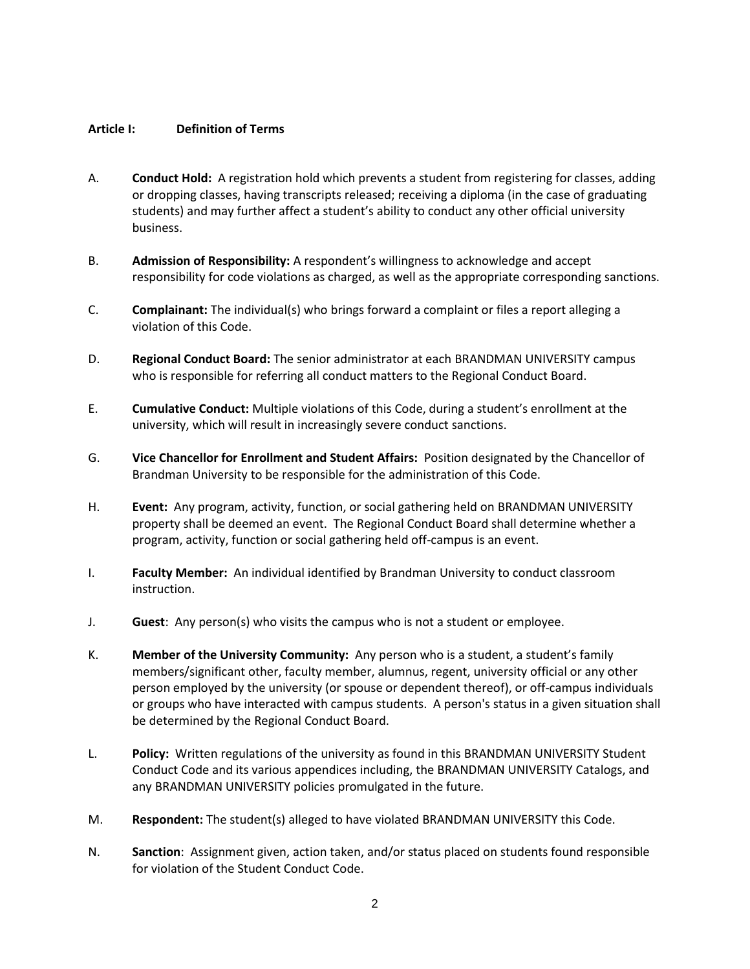#### **Article I: Definition of Terms**

- A. **Conduct Hold:** A registration hold which prevents a student from registering for classes, adding or dropping classes, having transcripts released; receiving a diploma (in the case of graduating students) and may further affect a student's ability to conduct any other official university business.
- B. **Admission of Responsibility:** A respondent's willingness to acknowledge and accept responsibility for code violations as charged, as well as the appropriate corresponding sanctions.
- C. **Complainant:** The individual(s) who brings forward a complaint or files a report alleging a violation of this Code.
- D. **Regional Conduct Board:** The senior administrator at each BRANDMAN UNIVERSITY campus who is responsible for referring all conduct matters to the Regional Conduct Board.
- E. **Cumulative Conduct:** Multiple violations of this Code, during a student's enrollment at the university, which will result in increasingly severe conduct sanctions.
- G. **Vice Chancellor for Enrollment and Student Affairs:** Position designated by the Chancellor of Brandman University to be responsible for the administration of this Code.
- H. **Event:** Any program, activity, function, or social gathering held on BRANDMAN UNIVERSITY property shall be deemed an event. The Regional Conduct Board shall determine whether a program, activity, function or social gathering held off-campus is an event.
- I. **Faculty Member:** An individual identified by Brandman University to conduct classroom instruction.
- J. **Guest**: Any person(s) who visits the campus who is not a student or employee.
- K. **Member of the University Community:** Any person who is a student, a student's family members/significant other, faculty member, alumnus, regent, university official or any other person employed by the university (or spouse or dependent thereof), or off-campus individuals or groups who have interacted with campus students. A person's status in a given situation shall be determined by the Regional Conduct Board.
- L. **Policy:** Written regulations of the university as found in this BRANDMAN UNIVERSITY Student Conduct Code and its various appendices including, the BRANDMAN UNIVERSITY Catalogs, and any BRANDMAN UNIVERSITY policies promulgated in the future.
- M. **Respondent:** The student(s) alleged to have violated BRANDMAN UNIVERSITY this Code.
- N. **Sanction**: Assignment given, action taken, and/or status placed on students found responsible for violation of the Student Conduct Code.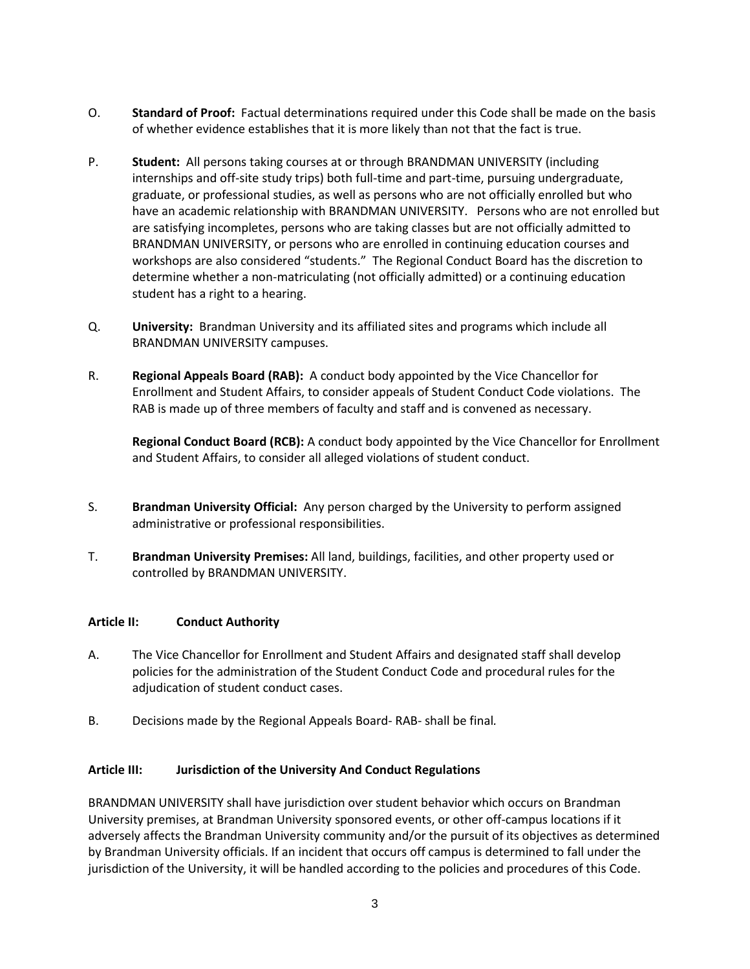- O. **Standard of Proof:** Factual determinations required under this Code shall be made on the basis of whether evidence establishes that it is more likely than not that the fact is true.
- P. **Student:** All persons taking courses at or through BRANDMAN UNIVERSITY (including internships and off-site study trips) both full-time and part-time, pursuing undergraduate, graduate, or professional studies, as well as persons who are not officially enrolled but who have an academic relationship with BRANDMAN UNIVERSITY. Persons who are not enrolled but are satisfying incompletes, persons who are taking classes but are not officially admitted to BRANDMAN UNIVERSITY, or persons who are enrolled in continuing education courses and workshops are also considered "students."The Regional Conduct Board has the discretion to determine whether a non-matriculating (not officially admitted) or a continuing education student has a right to a hearing.
- Q. **University:** Brandman University and its affiliated sites and programs which include all BRANDMAN UNIVERSITY campuses.
- R. **Regional Appeals Board (RAB):** A conduct body appointed by the Vice Chancellor for Enrollment and Student Affairs, to consider appeals of Student Conduct Code violations. The RAB is made up of three members of faculty and staff and is convened as necessary.

**Regional Conduct Board (RCB):** A conduct body appointed by the Vice Chancellor for Enrollment and Student Affairs, to consider all alleged violations of student conduct.

- S. **Brandman University Official:** Any person charged by the University to perform assigned administrative or professional responsibilities.
- T. **Brandman University Premises:** All land, buildings, facilities, and other property used or controlled by BRANDMAN UNIVERSITY.

#### **Article II: Conduct Authority**

- A. The Vice Chancellor for Enrollment and Student Affairs and designated staff shall develop policies for the administration of the Student Conduct Code and procedural rules for the adjudication of student conduct cases.
- B. Decisions made by the Regional Appeals Board- RAB- shall be final*.*

#### **Article III: Jurisdiction of the University And Conduct Regulations**

BRANDMAN UNIVERSITY shall have jurisdiction over student behavior which occurs on Brandman University premises, at Brandman University sponsored events, or other off-campus locations if it adversely affects the Brandman University community and/or the pursuit of its objectives as determined by Brandman University officials. If an incident that occurs off campus is determined to fall under the jurisdiction of the University, it will be handled according to the policies and procedures of this Code.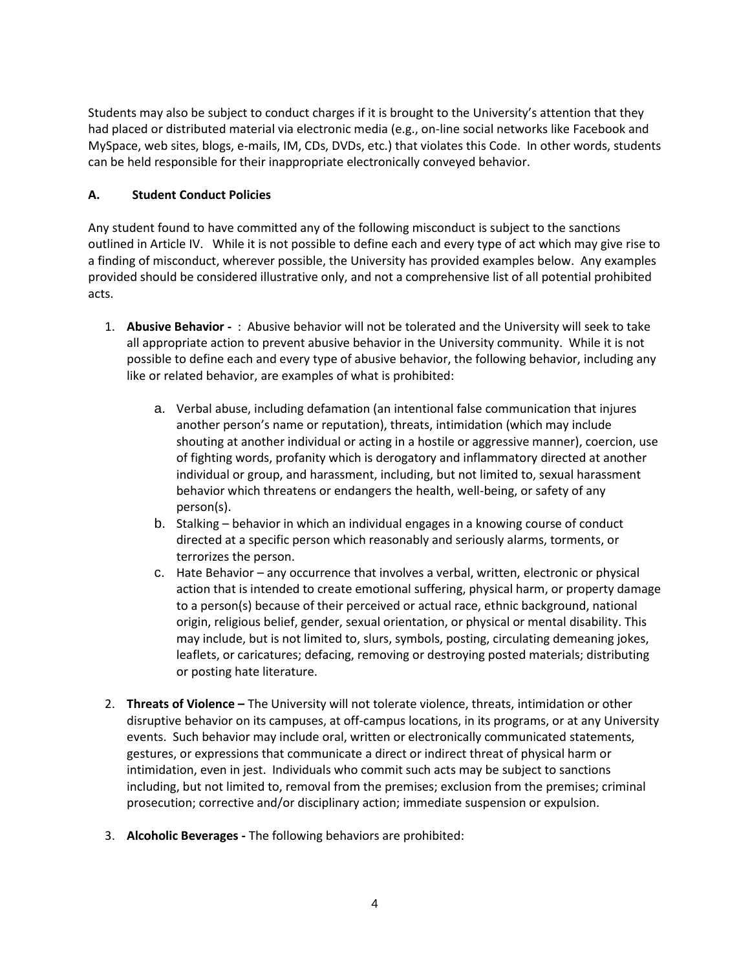Students may also be subject to conduct charges if it is brought to the University's attention that they had placed or distributed material via electronic media (e.g., on-line social networks like Facebook and MySpace, web sites, blogs, e-mails, IM, CDs, DVDs, etc.) that violates this Code. In other words, students can be held responsible for their inappropriate electronically conveyed behavior.

## **A. Student Conduct Policies**

Any student found to have committed any of the following misconduct is subject to the sanctions outlined in Article IV. While it is not possible to define each and every type of act which may give rise to a finding of misconduct, wherever possible, the University has provided examples below. Any examples provided should be considered illustrative only, and not a comprehensive list of all potential prohibited acts.

- 1. **Abusive Behavior -** : Abusive behavior will not be tolerated and the University will seek to take all appropriate action to prevent abusive behavior in the University community. While it is not possible to define each and every type of abusive behavior, the following behavior, including any like or related behavior, are examples of what is prohibited:
	- a. Verbal abuse, including defamation (an intentional false communication that injures another person's name or reputation), threats, intimidation (which may include shouting at another individual or acting in a hostile or aggressive manner), coercion, use of fighting words, profanity which is derogatory and inflammatory directed at another individual or group, and harassment, including, but not limited to, sexual harassment behavior which threatens or endangers the health, well-being, or safety of any person(s).
	- b. Stalking behavior in which an individual engages in a knowing course of conduct directed at a specific person which reasonably and seriously alarms, torments, or terrorizes the person.
	- c. Hate Behavior any occurrence that involves a verbal, written, electronic or physical action that is intended to create emotional suffering, physical harm, or property damage to a person(s) because of their perceived or actual race, ethnic background, national origin, religious belief, gender, sexual orientation, or physical or mental disability. This may include, but is not limited to, slurs, symbols, posting, circulating demeaning jokes, leaflets, or caricatures; defacing, removing or destroying posted materials; distributing or posting hate literature.
- 2. **Threats of Violence –** The University will not tolerate violence, threats, intimidation or other disruptive behavior on its campuses, at off-campus locations, in its programs, or at any University events. Such behavior may include oral, written or electronically communicated statements, gestures, or expressions that communicate a direct or indirect threat of physical harm or intimidation, even in jest. Individuals who commit such acts may be subject to sanctions including, but not limited to, removal from the premises; exclusion from the premises; criminal prosecution; corrective and/or disciplinary action; immediate suspension or expulsion.
- 3. **Alcoholic Beverages -** The following behaviors are prohibited: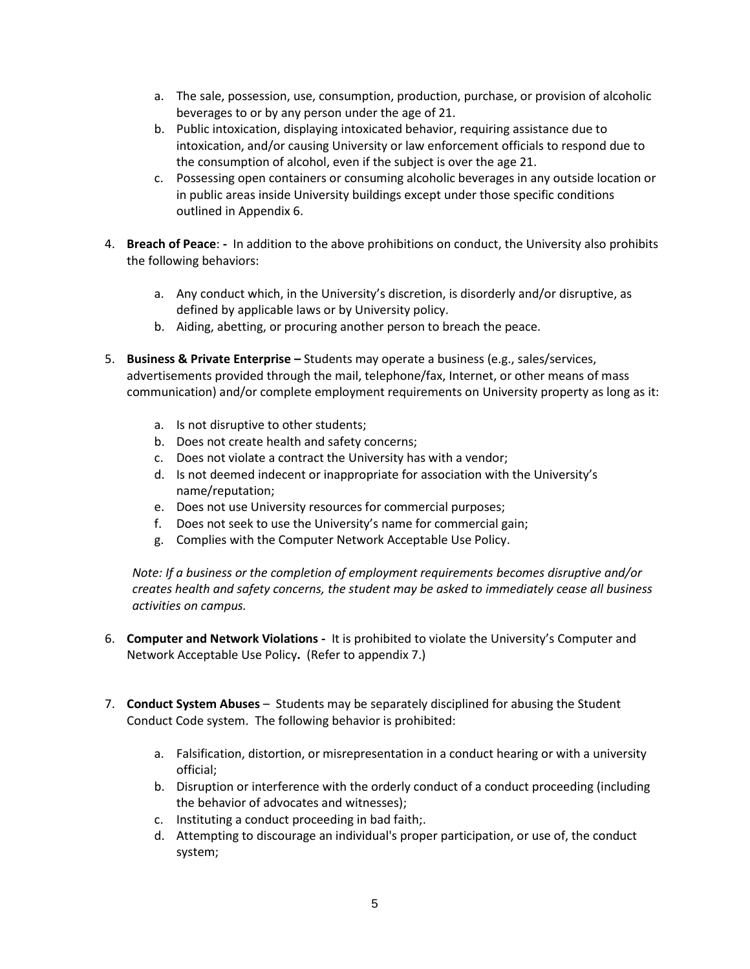- a. The sale, possession, use, consumption, production, purchase, or provision of alcoholic beverages to or by any person under the age of 21.
- b. Public intoxication, displaying intoxicated behavior, requiring assistance due to intoxication, and/or causing University or law enforcement officials to respond due to the consumption of alcohol, even if the subject is over the age 21.
- c. Possessing open containers or consuming alcoholic beverages in any outside location or in public areas inside University buildings except under those specific conditions outlined in Appendix 6.
- 4. **Breach of Peace**: **-** In addition to the above prohibitions on conduct, the University also prohibits the following behaviors:
	- a. Any conduct which, in the University's discretion, is disorderly and/or disruptive, as defined by applicable laws or by University policy.
	- b. Aiding, abetting, or procuring another person to breach the peace.
- 5. **Business & Private Enterprise –** Students may operate a business (e.g., sales/services, advertisements provided through the mail, telephone/fax, Internet, or other means of mass communication) and/or complete employment requirements on University property as long as it:
	- a. Is not disruptive to other students;
	- b. Does not create health and safety concerns;
	- c. Does not violate a contract the University has with a vendor;
	- d. Is not deemed indecent or inappropriate for association with the University's name/reputation;
	- e. Does not use University resources for commercial purposes;
	- f. Does not seek to use the University's name for commercial gain;
	- g. Complies with the Computer Network Acceptable Use Policy.

*Note: If a business or the completion of employment requirements becomes disruptive and/or creates health and safety concerns, the student may be asked to immediately cease all business activities on campus.* 

- 6. **Computer and Network Violations -** It is prohibited to violate the University's Computer and Network Acceptable Use Policy**.** (Refer to appendix 7.)
- 7. **Conduct System Abuses**  Students may be separately disciplined for abusing the Student Conduct Code system. The following behavior is prohibited:
	- a. Falsification, distortion, or misrepresentation in a conduct hearing or with a university official;
	- b. Disruption or interference with the orderly conduct of a conduct proceeding (including the behavior of advocates and witnesses);
	- c. Instituting a conduct proceeding in bad faith;.
	- d. Attempting to discourage an individual's proper participation, or use of, the conduct system;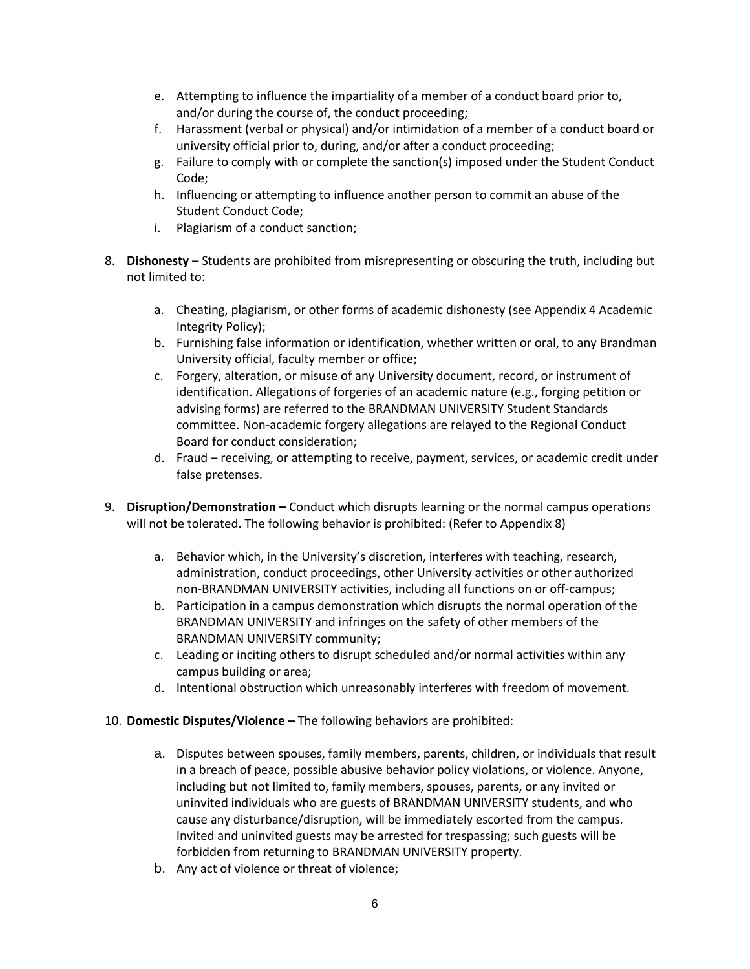- e. Attempting to influence the impartiality of a member of a conduct board prior to, and/or during the course of, the conduct proceeding;
- f. Harassment (verbal or physical) and/or intimidation of a member of a conduct board or university official prior to, during, and/or after a conduct proceeding;
- g. Failure to comply with or complete the sanction(s) imposed under the Student Conduct Code;
- h. Influencing or attempting to influence another person to commit an abuse of the Student Conduct Code;
- i. Plagiarism of a conduct sanction;
- 8. **Dishonesty**  Students are prohibited from misrepresenting or obscuring the truth, including but not limited to:
	- a. Cheating, plagiarism, or other forms of academic dishonesty (see Appendix 4 Academic Integrity Policy);
	- b. Furnishing false information or identification, whether written or oral, to any Brandman University official, faculty member or office;
	- c. Forgery, alteration, or misuse of any University document, record, or instrument of identification. Allegations of forgeries of an academic nature (e.g., forging petition or advising forms) are referred to the BRANDMAN UNIVERSITY Student Standards committee. Non-academic forgery allegations are relayed to the Regional Conduct Board for conduct consideration;
	- d. Fraud receiving, or attempting to receive, payment, services, or academic credit under false pretenses.
- 9. **Disruption/Demonstration –** Conduct which disrupts learning or the normal campus operations will not be tolerated. The following behavior is prohibited: (Refer to Appendix 8)
	- a. Behavior which, in the University's discretion, interferes with teaching, research, administration, conduct proceedings, other University activities or other authorized non-BRANDMAN UNIVERSITY activities, including all functions on or off-campus;
	- b. Participation in a campus demonstration which disrupts the normal operation of the BRANDMAN UNIVERSITY and infringes on the safety of other members of the BRANDMAN UNIVERSITY community;
	- c. Leading or inciting others to disrupt scheduled and/or normal activities within any campus building or area;
	- d. Intentional obstruction which unreasonably interferes with freedom of movement.

#### 10. **Domestic Disputes/Violence –** The following behaviors are prohibited:

- a. Disputes between spouses, family members, parents, children, or individuals that result in a breach of peace, possible abusive behavior policy violations, or violence. Anyone, including but not limited to, family members, spouses, parents, or any invited or uninvited individuals who are guests of BRANDMAN UNIVERSITY students, and who cause any disturbance/disruption, will be immediately escorted from the campus. Invited and uninvited guests may be arrested for trespassing; such guests will be forbidden from returning to BRANDMAN UNIVERSITY property.
- b. Any act of violence or threat of violence;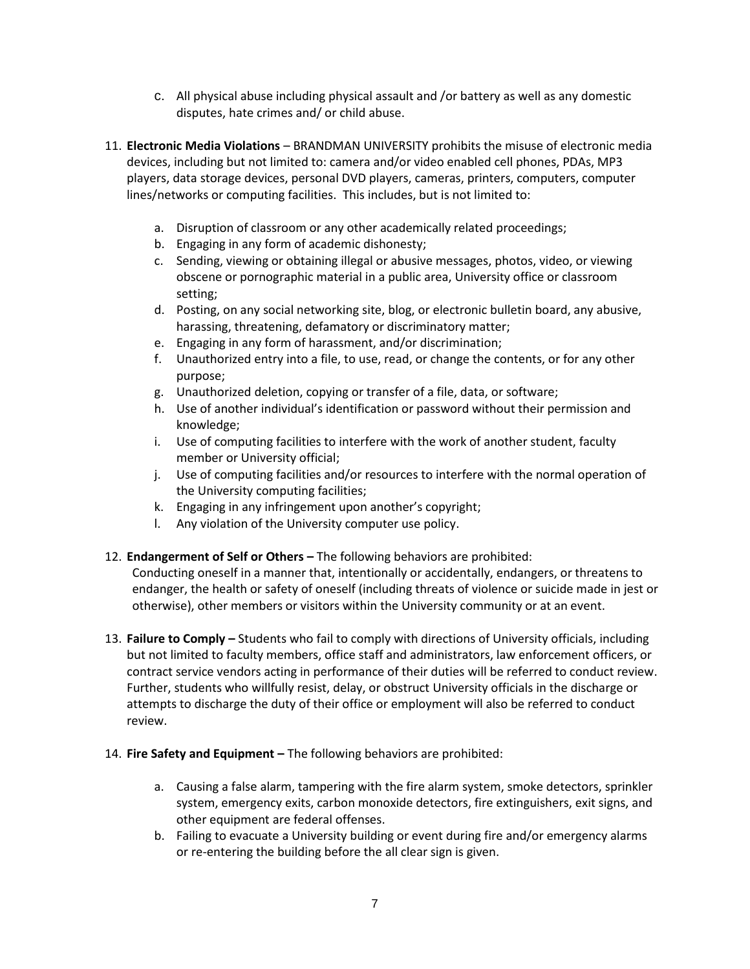- c. All physical abuse including physical assault and /or battery as well as any domestic disputes, hate crimes and/ or child abuse.
- 11. **Electronic Media Violations** BRANDMAN UNIVERSITY prohibits the misuse of electronic media devices, including but not limited to: camera and/or video enabled cell phones, PDAs, MP3 players, data storage devices, personal DVD players, cameras, printers, computers, computer lines/networks or computing facilities. This includes, but is not limited to:
	- a. Disruption of classroom or any other academically related proceedings;
	- b. Engaging in any form of academic dishonesty;
	- c. Sending, viewing or obtaining illegal or abusive messages, photos, video, or viewing obscene or pornographic material in a public area, University office or classroom setting;
	- d. Posting, on any social networking site, blog, or electronic bulletin board, any abusive, harassing, threatening, defamatory or discriminatory matter;
	- e. Engaging in any form of harassment, and/or discrimination;
	- f. Unauthorized entry into a file, to use, read, or change the contents, or for any other purpose;
	- g. Unauthorized deletion, copying or transfer of a file, data, or software;
	- h. Use of another individual's identification or password without their permission and knowledge;
	- i. Use of computing facilities to interfere with the work of another student, faculty member or University official;
	- j. Use of computing facilities and/or resources to interfere with the normal operation of the University computing facilities;
	- k. Engaging in any infringement upon another's copyright;
	- l. Any violation of the University computer use policy.
- 12. **Endangerment of Self or Others –** The following behaviors are prohibited:

Conducting oneself in a manner that, intentionally or accidentally, endangers, or threatens to endanger, the health or safety of oneself (including threats of violence or suicide made in jest or otherwise), other members or visitors within the University community or at an event.

- 13. **Failure to Comply –** Students who fail to comply with directions of University officials, including but not limited to faculty members, office staff and administrators, law enforcement officers, or contract service vendors acting in performance of their duties will be referred to conduct review. Further, students who willfully resist, delay, or obstruct University officials in the discharge or attempts to discharge the duty of their office or employment will also be referred to conduct review.
- 14. **Fire Safety and Equipment –** The following behaviors are prohibited:
	- a. Causing a false alarm, tampering with the fire alarm system, smoke detectors, sprinkler system, emergency exits, carbon monoxide detectors, fire extinguishers, exit signs, and other equipment are federal offenses.
	- b. Failing to evacuate a University building or event during fire and/or emergency alarms or re-entering the building before the all clear sign is given.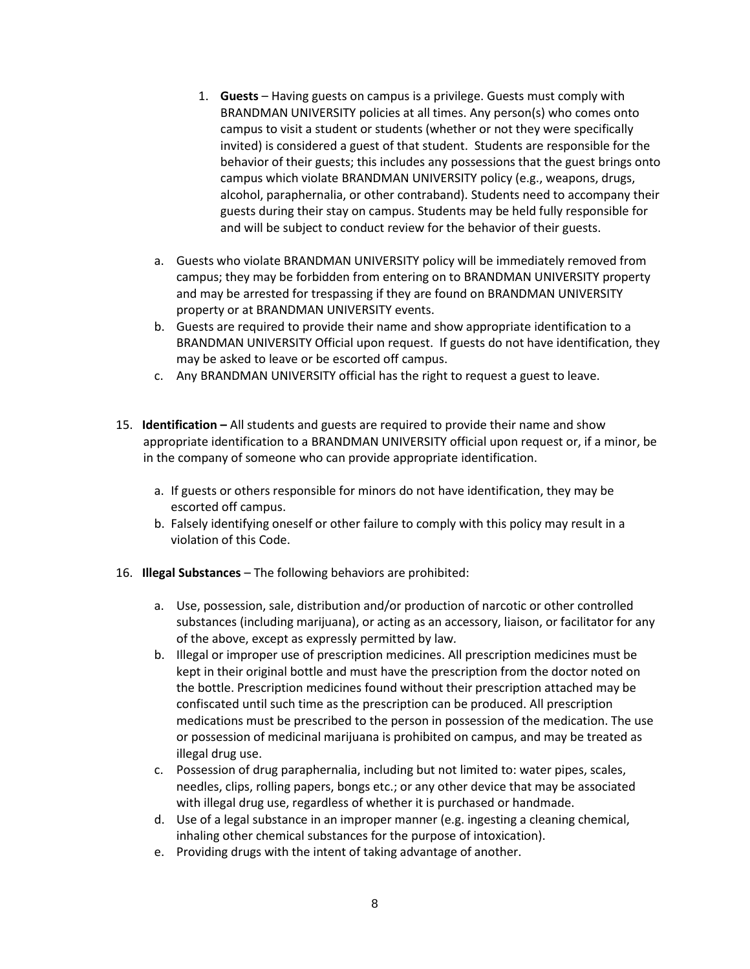- 1. **Guests**  Having guests on campus is a privilege. Guests must comply with BRANDMAN UNIVERSITY policies at all times. Any person(s) who comes onto campus to visit a student or students (whether or not they were specifically invited) is considered a guest of that student. Students are responsible for the behavior of their guests; this includes any possessions that the guest brings onto campus which violate BRANDMAN UNIVERSITY policy (e.g., weapons, drugs, alcohol, paraphernalia, or other contraband). Students need to accompany their guests during their stay on campus. Students may be held fully responsible for and will be subject to conduct review for the behavior of their guests.
- a. Guests who violate BRANDMAN UNIVERSITY policy will be immediately removed from campus; they may be forbidden from entering on to BRANDMAN UNIVERSITY property and may be arrested for trespassing if they are found on BRANDMAN UNIVERSITY property or at BRANDMAN UNIVERSITY events.
- b. Guests are required to provide their name and show appropriate identification to a BRANDMAN UNIVERSITY Official upon request. If guests do not have identification, they may be asked to leave or be escorted off campus.
- c. Any BRANDMAN UNIVERSITY official has the right to request a guest to leave.
- 15. **Identification –** All students and guests are required to provide their name and show appropriate identification to a BRANDMAN UNIVERSITY official upon request or, if a minor, be in the company of someone who can provide appropriate identification.
	- a. If guests or others responsible for minors do not have identification, they may be escorted off campus.
	- b. Falsely identifying oneself or other failure to comply with this policy may result in a violation of this Code.
- 16. **Illegal Substances**  The following behaviors are prohibited:
	- a. Use, possession, sale, distribution and/or production of narcotic or other controlled substances (including marijuana), or acting as an accessory, liaison, or facilitator for any of the above, except as expressly permitted by law*.*
	- b. Illegal or improper use of prescription medicines. All prescription medicines must be kept in their original bottle and must have the prescription from the doctor noted on the bottle. Prescription medicines found without their prescription attached may be confiscated until such time as the prescription can be produced. All prescription medications must be prescribed to the person in possession of the medication. The use or possession of medicinal marijuana is prohibited on campus, and may be treated as illegal drug use.
	- c. Possession of drug paraphernalia, including but not limited to: water pipes, scales, needles, clips, rolling papers, bongs etc.; or any other device that may be associated with illegal drug use, regardless of whether it is purchased or handmade.
	- d. Use of a legal substance in an improper manner (e.g. ingesting a cleaning chemical, inhaling other chemical substances for the purpose of intoxication).
	- e. Providing drugs with the intent of taking advantage of another.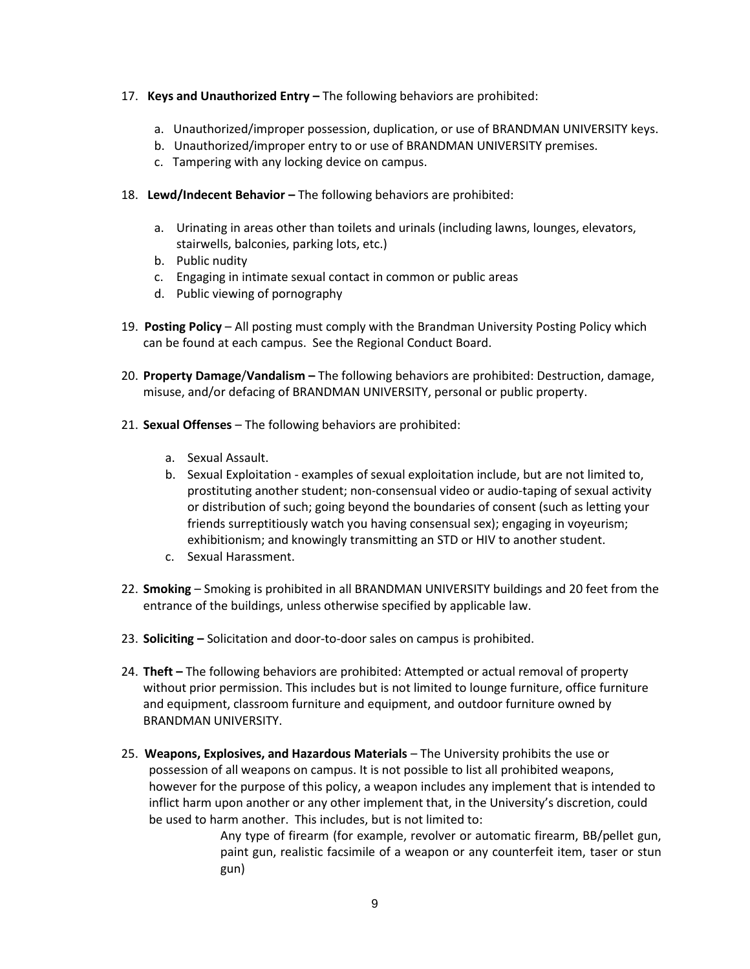#### 17. **Keys and Unauthorized Entry –** The following behaviors are prohibited:

- a. Unauthorized/improper possession, duplication, or use of BRANDMAN UNIVERSITY keys.
- b. Unauthorized/improper entry to or use of BRANDMAN UNIVERSITY premises.
- c. Tampering with any locking device on campus.
- 18. Lewd/Indecent Behavior The following behaviors are prohibited:
	- a. Urinating in areas other than toilets and urinals (including lawns, lounges, elevators, stairwells, balconies, parking lots, etc.)
	- b. Public nudity
	- c. Engaging in intimate sexual contact in common or public areas
	- d. Public viewing of pornography
- 19. **Posting Policy** All posting must comply with the Brandman University Posting Policy which can be found at each campus. See the Regional Conduct Board.
- 20. **Property Damage**/**Vandalism –** The following behaviors are prohibited: Destruction, damage, misuse, and/or defacing of BRANDMAN UNIVERSITY, personal or public property.
- 21. **Sexual Offenses**  The following behaviors are prohibited:
	- a. Sexual Assault.
	- b. Sexual Exploitation examples of sexual exploitation include, but are not limited to, prostituting another student; non-consensual video or audio-taping of sexual activity or distribution of such; going beyond the boundaries of consent (such as letting your friends surreptitiously watch you having consensual sex); engaging in voyeurism; exhibitionism; and knowingly transmitting an STD or HIV to another student.
	- c. Sexual Harassment.
- 22. **Smoking** Smoking is prohibited in all BRANDMAN UNIVERSITY buildings and 20 feet from the entrance of the buildings, unless otherwise specified by applicable law.
- 23. **Soliciting –** Solicitation and door-to-door sales on campus is prohibited.
- 24. **Theft –** The following behaviors are prohibited: Attempted or actual removal of property without prior permission. This includes but is not limited to lounge furniture, office furniture and equipment, classroom furniture and equipment, and outdoor furniture owned by BRANDMAN UNIVERSITY.
- 25. **Weapons, Explosives, and Hazardous Materials**  The University prohibits the use or possession of all weapons on campus. It is not possible to list all prohibited weapons, however for the purpose of this policy, a weapon includes any implement that is intended to inflict harm upon another or any other implement that, in the University's discretion, could be used to harm another. This includes, but is not limited to:

Any type of firearm (for example, revolver or automatic firearm, BB/pellet gun, paint gun, realistic facsimile of a weapon or any counterfeit item, taser or stun gun)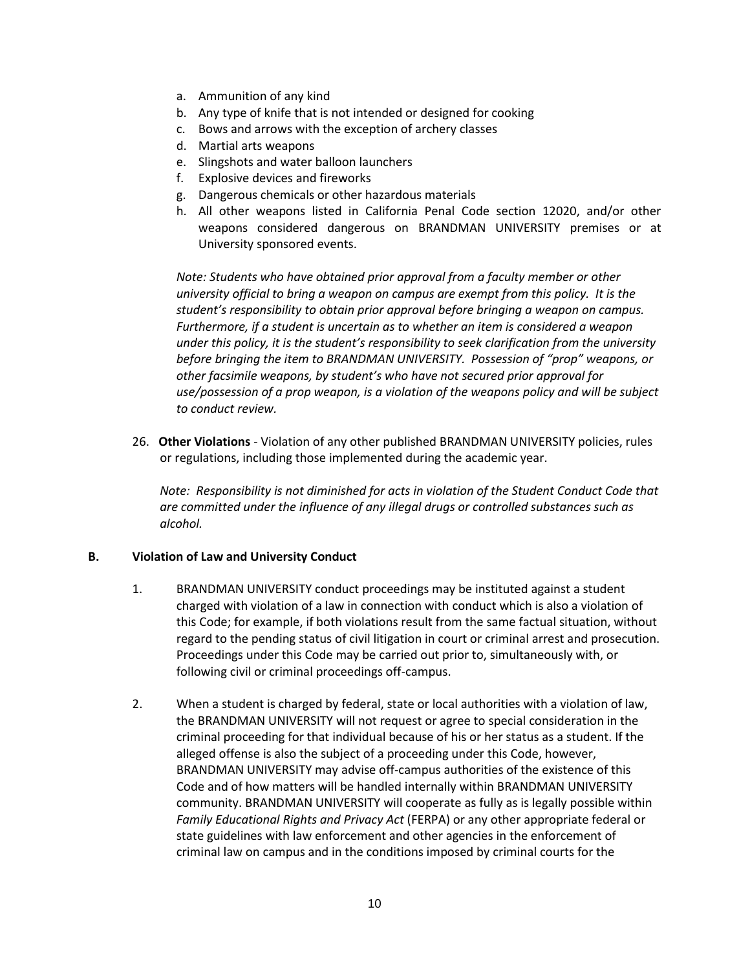- a. Ammunition of any kind
- b. Any type of knife that is not intended or designed for cooking
- c. Bows and arrows with the exception of archery classes
- d. Martial arts weapons
- e. Slingshots and water balloon launchers
- f. Explosive devices and fireworks
- g. Dangerous chemicals or other hazardous materials
- h. All other weapons listed in California Penal Code section 12020, and/or other weapons considered dangerous on BRANDMAN UNIVERSITY premises or at University sponsored events.

*Note: Students who have obtained prior approval from a faculty member or other university official to bring a weapon on campus are exempt from this policy. It is the student's responsibility to obtain prior approval before bringing a weapon on campus. Furthermore, if a student is uncertain as to whether an item is considered a weapon under this policy, it is the student's responsibility to seek clarification from the university before bringing the item to BRANDMAN UNIVERSITY. Possession of "prop" weapons, or other facsimile weapons, by student's who have not secured prior approval for use/possession of a prop weapon, is a violation of the weapons policy and will be subject to conduct review.* 

26. **Other Violations** - Violation of any other published BRANDMAN UNIVERSITY policies, rules or regulations, including those implemented during the academic year.

*Note: Responsibility is not diminished for acts in violation of the Student Conduct Code that are committed under the influence of any illegal drugs or controlled substances such as alcohol.*

#### **B. Violation of Law and University Conduct**

- 1. BRANDMAN UNIVERSITY conduct proceedings may be instituted against a student charged with violation of a law in connection with conduct which is also a violation of this Code; for example, if both violations result from the same factual situation, without regard to the pending status of civil litigation in court or criminal arrest and prosecution. Proceedings under this Code may be carried out prior to, simultaneously with, or following civil or criminal proceedings off-campus.
- 2. When a student is charged by federal, state or local authorities with a violation of law, the BRANDMAN UNIVERSITY will not request or agree to special consideration in the criminal proceeding for that individual because of his or her status as a student. If the alleged offense is also the subject of a proceeding under this Code, however, BRANDMAN UNIVERSITY may advise off-campus authorities of the existence of this Code and of how matters will be handled internally within BRANDMAN UNIVERSITY community. BRANDMAN UNIVERSITY will cooperate as fully as is legally possible within *Family Educational Rights and Privacy Act* (FERPA) or any other appropriate federal or state guidelines with law enforcement and other agencies in the enforcement of criminal law on campus and in the conditions imposed by criminal courts for the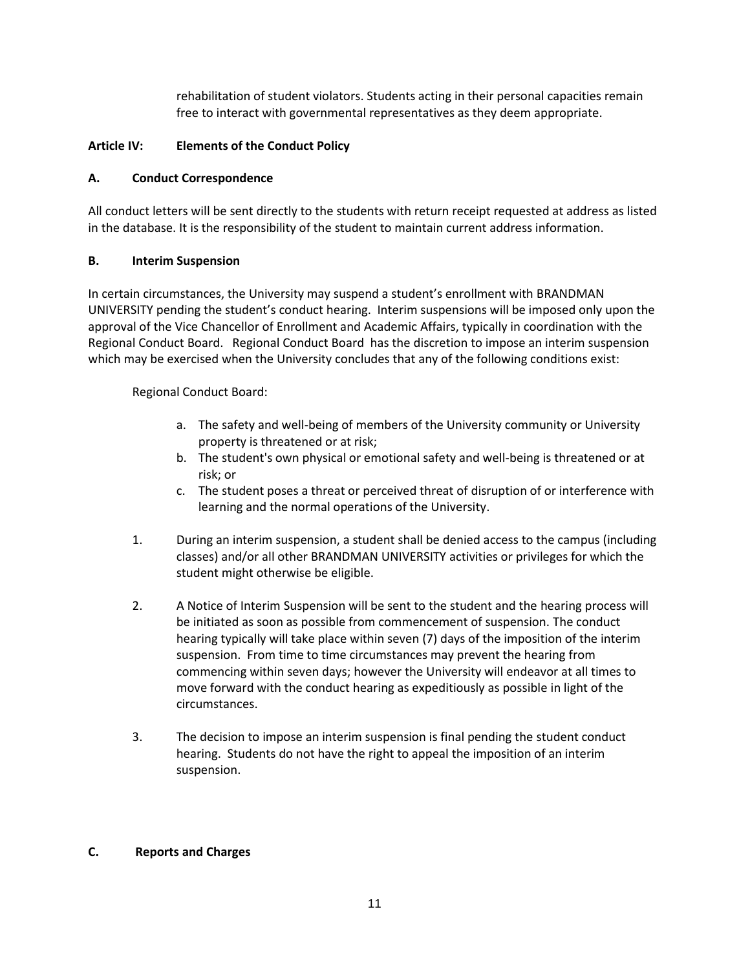rehabilitation of student violators. Students acting in their personal capacities remain free to interact with governmental representatives as they deem appropriate.

### **Article IV: Elements of the Conduct Policy**

### **A. Conduct Correspondence**

All conduct letters will be sent directly to the students with return receipt requested at address as listed in the database. It is the responsibility of the student to maintain current address information.

### **B. Interim Suspension**

In certain circumstances, the University may suspend a student's enrollment with BRANDMAN UNIVERSITY pending the student's conduct hearing. Interim suspensions will be imposed only upon the approval of the Vice Chancellor of Enrollment and Academic Affairs, typically in coordination with the Regional Conduct Board. Regional Conduct Board has the discretion to impose an interim suspension which may be exercised when the University concludes that any of the following conditions exist:

Regional Conduct Board:

- a. The safety and well-being of members of the University community or University property is threatened or at risk;
- b. The student's own physical or emotional safety and well-being is threatened or at risk; or
- c. The student poses a threat or perceived threat of disruption of or interference with learning and the normal operations of the University.
- 1. During an interim suspension, a student shall be denied access to the campus (including classes) and/or all other BRANDMAN UNIVERSITY activities or privileges for which the student might otherwise be eligible.
- 2. A Notice of Interim Suspension will be sent to the student and the hearing process will be initiated as soon as possible from commencement of suspension. The conduct hearing typically will take place within seven (7) days of the imposition of the interim suspension. From time to time circumstances may prevent the hearing from commencing within seven days; however the University will endeavor at all times to move forward with the conduct hearing as expeditiously as possible in light of the circumstances.
- 3. The decision to impose an interim suspension is final pending the student conduct hearing. Students do not have the right to appeal the imposition of an interim suspension.

#### **C. Reports and Charges**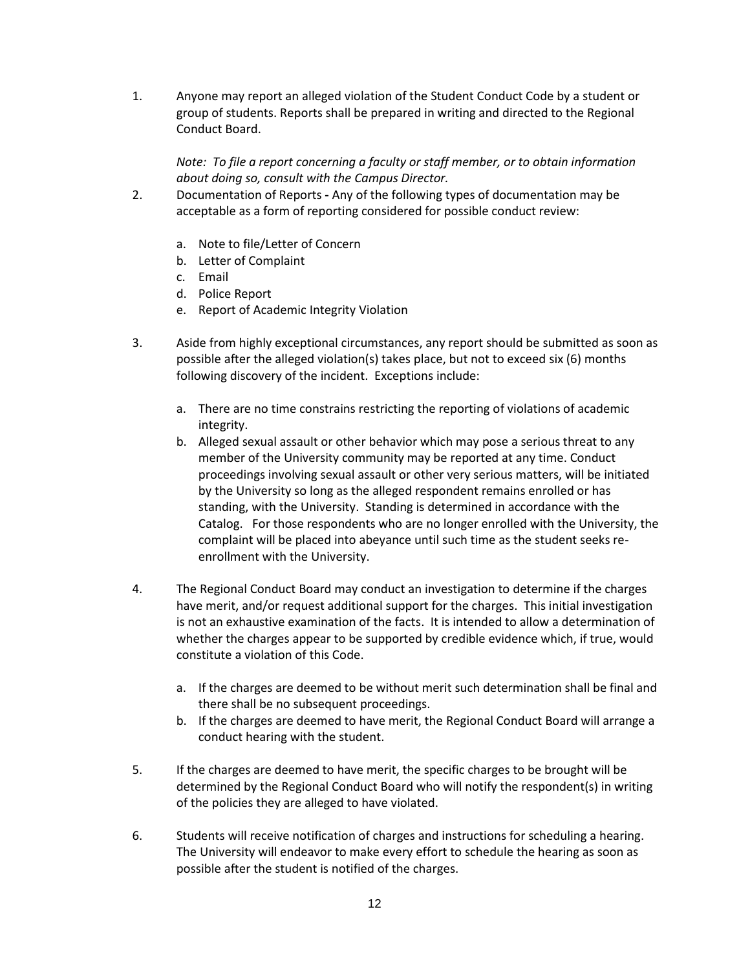1. Anyone may report an alleged violation of the Student Conduct Code by a student or group of students. Reports shall be prepared in writing and directed to the Regional Conduct Board.

*Note: To file a report concerning a faculty or staff member, or to obtain information about doing so, consult with the Campus Director.*

- 2. Documentation of Reports **-** Any of the following types of documentation may be acceptable as a form of reporting considered for possible conduct review:
	- a. Note to file/Letter of Concern
	- b. Letter of Complaint
	- c. Email
	- d. Police Report
	- e. Report of Academic Integrity Violation
- 3. Aside from highly exceptional circumstances, any report should be submitted as soon as possible after the alleged violation(s) takes place, but not to exceed six (6) months following discovery of the incident. Exceptions include:
	- a. There are no time constrains restricting the reporting of violations of academic integrity.
	- b. Alleged sexual assault or other behavior which may pose a serious threat to any member of the University community may be reported at any time. Conduct proceedings involving sexual assault or other very serious matters, will be initiated by the University so long as the alleged respondent remains enrolled or has standing, with the University. Standing is determined in accordance with the Catalog.For those respondents who are no longer enrolled with the University, the complaint will be placed into abeyance until such time as the student seeks reenrollment with the University.
- 4. The Regional Conduct Board may conduct an investigation to determine if the charges have merit, and/or request additional support for the charges. This initial investigation is not an exhaustive examination of the facts. It is intended to allow a determination of whether the charges appear to be supported by credible evidence which, if true, would constitute a violation of this Code.
	- a. If the charges are deemed to be without merit such determination shall be final and there shall be no subsequent proceedings.
	- b. If the charges are deemed to have merit, the Regional Conduct Board will arrange a conduct hearing with the student.
- 5. If the charges are deemed to have merit, the specific charges to be brought will be determined by the Regional Conduct Board who will notify the respondent(s) in writing of the policies they are alleged to have violated.
- 6. Students will receive notification of charges and instructions for scheduling a hearing. The University will endeavor to make every effort to schedule the hearing as soon as possible after the student is notified of the charges.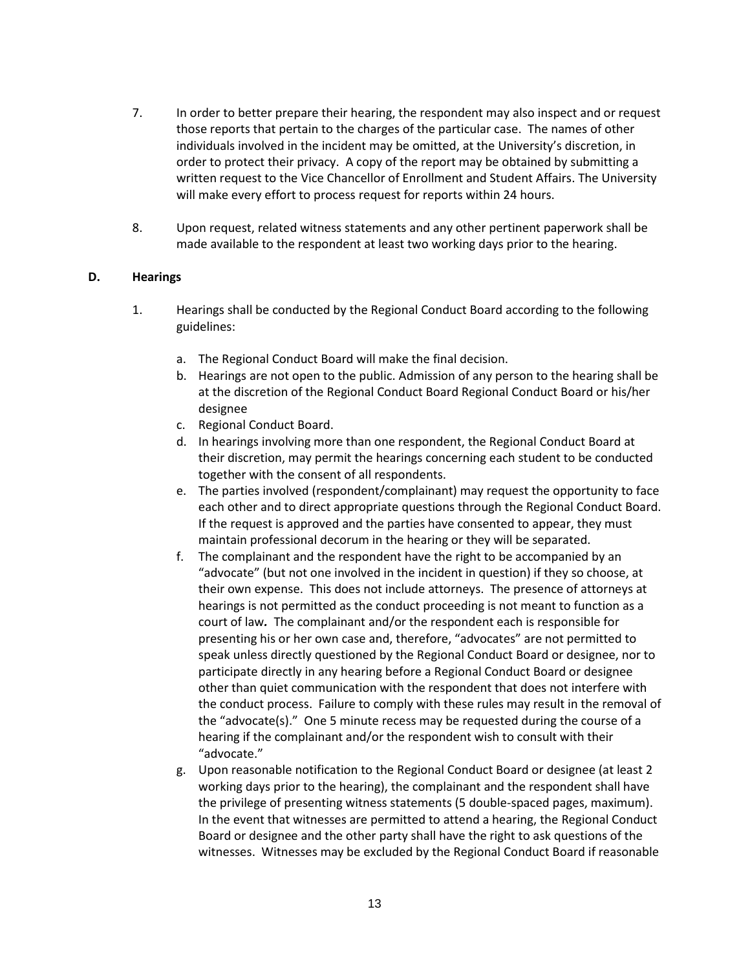- 7. In order to better prepare their hearing, the respondent may also inspect and or request those reports that pertain to the charges of the particular case. The names of other individuals involved in the incident may be omitted, at the University's discretion, in order to protect their privacy. A copy of the report may be obtained by submitting a written request to the Vice Chancellor of Enrollment and Student Affairs. The University will make every effort to process request for reports within 24 hours.
- 8. Upon request, related witness statements and any other pertinent paperwork shall be made available to the respondent at least two working days prior to the hearing.

### **D. Hearings**

- 1. Hearings shall be conducted by the Regional Conduct Board according to the following guidelines:
	- a. The Regional Conduct Board will make the final decision.
	- b. Hearings are not open to the public. Admission of any person to the hearing shall be at the discretion of the Regional Conduct Board Regional Conduct Board or his/her designee
	- c. Regional Conduct Board.
	- d. In hearings involving more than one respondent, the Regional Conduct Board at their discretion, may permit the hearings concerning each student to be conducted together with the consent of all respondents.
	- e. The parties involved (respondent/complainant) may request the opportunity to face each other and to direct appropriate questions through the Regional Conduct Board. If the request is approved and the parties have consented to appear, they must maintain professional decorum in the hearing or they will be separated.
	- f. The complainant and the respondent have the right to be accompanied by an "advocate" (but not one involved in the incident in question) if they so choose, at their own expense. This does not include attorneys. The presence of attorneys at hearings is not permitted as the conduct proceeding is not meant to function as a court of law*.* The complainant and/or the respondent each is responsible for presenting his or her own case and, therefore, "advocates" are not permitted to speak unless directly questioned by the Regional Conduct Board or designee, nor to participate directly in any hearing before a Regional Conduct Board or designee other than quiet communication with the respondent that does not interfere with the conduct process. Failure to comply with these rules may result in the removal of the "advocate(s)." One 5 minute recess may be requested during the course of a hearing if the complainant and/or the respondent wish to consult with their "advocate."
	- g. Upon reasonable notification to the Regional Conduct Board or designee (at least 2 working days prior to the hearing), the complainant and the respondent shall have the privilege of presenting witness statements (5 double-spaced pages, maximum). In the event that witnesses are permitted to attend a hearing, the Regional Conduct Board or designee and the other party shall have the right to ask questions of the witnesses. Witnesses may be excluded by the Regional Conduct Board if reasonable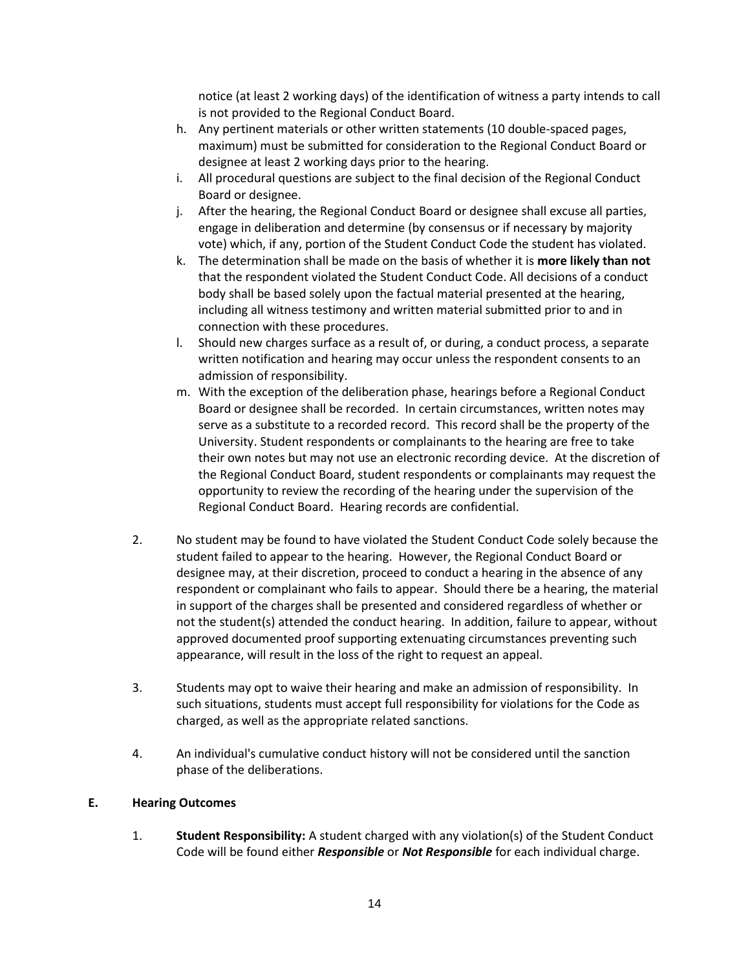notice (at least 2 working days) of the identification of witness a party intends to call is not provided to the Regional Conduct Board.

- h. Any pertinent materials or other written statements (10 double-spaced pages, maximum) must be submitted for consideration to the Regional Conduct Board or designee at least 2 working days prior to the hearing.
- i. All procedural questions are subject to the final decision of the Regional Conduct Board or designee.
- j. After the hearing, the Regional Conduct Board or designee shall excuse all parties, engage in deliberation and determine (by consensus or if necessary by majority vote) which, if any, portion of the Student Conduct Code the student has violated.
- k. The determination shall be made on the basis of whether it is **more likely than not** that the respondent violated the Student Conduct Code. All decisions of a conduct body shall be based solely upon the factual material presented at the hearing, including all witness testimony and written material submitted prior to and in connection with these procedures.
- l. Should new charges surface as a result of, or during, a conduct process, a separate written notification and hearing may occur unless the respondent consents to an admission of responsibility.
- m. With the exception of the deliberation phase, hearings before a Regional Conduct Board or designee shall be recorded. In certain circumstances, written notes may serve as a substitute to a recorded record. This record shall be the property of the University. Student respondents or complainants to the hearing are free to take their own notes but may not use an electronic recording device. At the discretion of the Regional Conduct Board, student respondents or complainants may request the opportunity to review the recording of the hearing under the supervision of the Regional Conduct Board. Hearing records are confidential.
- 2. No student may be found to have violated the Student Conduct Code solely because the student failed to appear to the hearing. However, the Regional Conduct Board or designee may, at their discretion, proceed to conduct a hearing in the absence of any respondent or complainant who fails to appear. Should there be a hearing, the material in support of the charges shall be presented and considered regardless of whether or not the student(s) attended the conduct hearing. In addition, failure to appear, without approved documented proof supporting extenuating circumstances preventing such appearance, will result in the loss of the right to request an appeal.
- 3. Students may opt to waive their hearing and make an admission of responsibility. In such situations, students must accept full responsibility for violations for the Code as charged, as well as the appropriate related sanctions.
- 4. An individual's cumulative conduct history will not be considered until the sanction phase of the deliberations.

#### **E. Hearing Outcomes**

1. **Student Responsibility:** A student charged with any violation(s) of the Student Conduct Code will be found either *Responsible* or *Not Responsible* for each individual charge.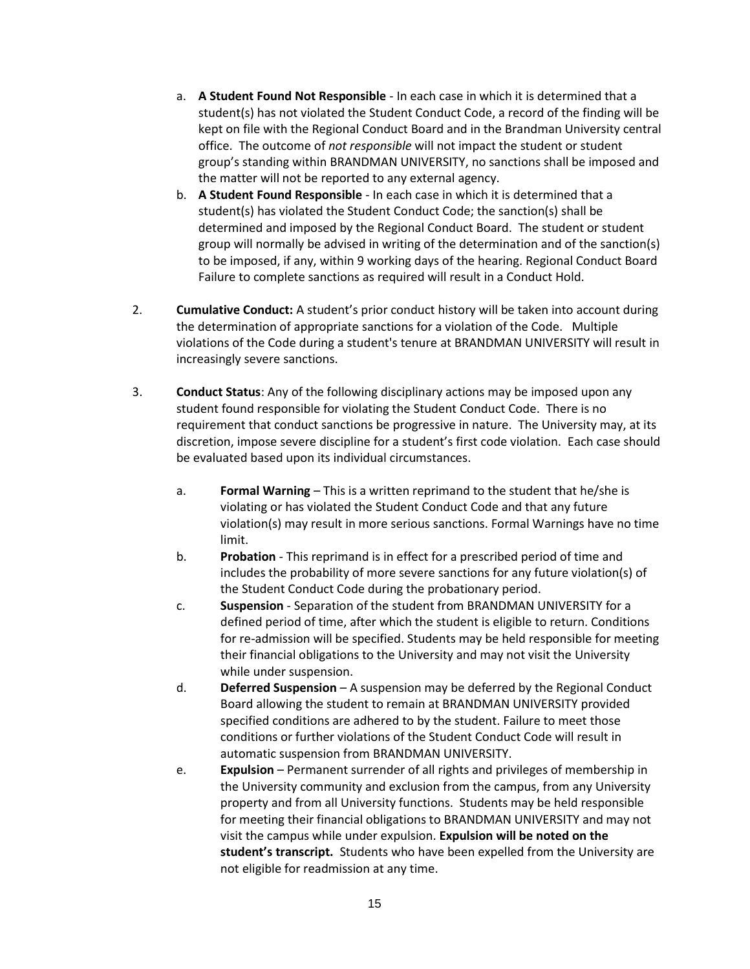- a. **A Student Found Not Responsible** In each case in which it is determined that a student(s) has not violated the Student Conduct Code, a record of the finding will be kept on file with the Regional Conduct Board and in the Brandman University central office. The outcome of *not responsible* will not impact the student or student group's standing within BRANDMAN UNIVERSITY, no sanctions shall be imposed and the matter will not be reported to any external agency.
- b. **A Student Found Responsible** In each case in which it is determined that a student(s) has violated the Student Conduct Code; the sanction(s) shall be determined and imposed by the Regional Conduct Board. The student or student group will normally be advised in writing of the determination and of the sanction(s) to be imposed, if any, within 9 working days of the hearing. Regional Conduct Board Failure to complete sanctions as required will result in a Conduct Hold.
- 2. **Cumulative Conduct:** A student's prior conduct history will be taken into account during the determination of appropriate sanctions for a violation of the Code. Multiple violations of the Code during a student's tenure at BRANDMAN UNIVERSITY will result in increasingly severe sanctions.
- 3. **Conduct Status**: Any of the following disciplinary actions may be imposed upon any student found responsible for violating the Student Conduct Code. There is no requirement that conduct sanctions be progressive in nature. The University may, at its discretion, impose severe discipline for a student's first code violation. Each case should be evaluated based upon its individual circumstances.
	- a. **Formal Warning**  This is a written reprimand to the student that he/she is violating or has violated the Student Conduct Code and that any future violation(s) may result in more serious sanctions. Formal Warnings have no time limit.
	- b. **Probation**  This reprimand is in effect for a prescribed period of time and includes the probability of more severe sanctions for any future violation(s) of the Student Conduct Code during the probationary period.
	- c. **Suspension** Separation of the student from BRANDMAN UNIVERSITY for a defined period of time, after which the student is eligible to return. Conditions for re-admission will be specified. Students may be held responsible for meeting their financial obligations to the University and may not visit the University while under suspension.
	- d. **Deferred Suspension** A suspension may be deferred by the Regional Conduct Board allowing the student to remain at BRANDMAN UNIVERSITY provided specified conditions are adhered to by the student. Failure to meet those conditions or further violations of the Student Conduct Code will result in automatic suspension from BRANDMAN UNIVERSITY.
	- e. **Expulsion**  Permanent surrender of all rights and privileges of membership in the University community and exclusion from the campus, from any University property and from all University functions. Students may be held responsible for meeting their financial obligations to BRANDMAN UNIVERSITY and may not visit the campus while under expulsion. **Expulsion will be noted on the student's transcript.** Students who have been expelled from the University are not eligible for readmission at any time.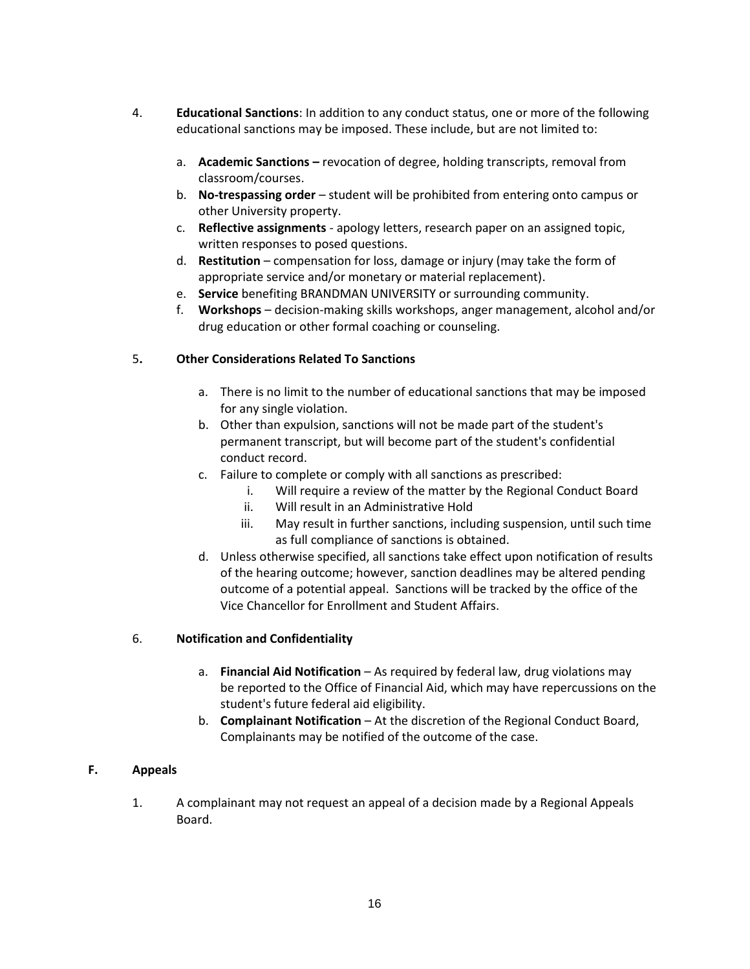- 4. **Educational Sanctions**: In addition to any conduct status, one or more of the following educational sanctions may be imposed. These include, but are not limited to:
	- a. **Academic Sanctions –** revocation of degree, holding transcripts, removal from classroom/courses.
	- b. **No-trespassing order** student will be prohibited from entering onto campus or other University property.
	- c. **Reflective assignments** apology letters, research paper on an assigned topic, written responses to posed questions.
	- d. **Restitution**  compensation for loss, damage or injury (may take the form of appropriate service and/or monetary or material replacement).
	- e. **Service** benefiting BRANDMAN UNIVERSITY or surrounding community.
	- f. **Workshops** decision-making skills workshops, anger management, alcohol and/or drug education or other formal coaching or counseling.

## 5**. Other Considerations Related To Sanctions**

- a. There is no limit to the number of educational sanctions that may be imposed for any single violation.
- b. Other than expulsion, sanctions will not be made part of the student's permanent transcript, but will become part of the student's confidential conduct record.
- c. Failure to complete or comply with all sanctions as prescribed:
	- i. Will require a review of the matter by the Regional Conduct Board
	- ii. Will result in an Administrative Hold
	- iii. May result in further sanctions, including suspension, until such time as full compliance of sanctions is obtained.
- d. Unless otherwise specified, all sanctions take effect upon notification of results of the hearing outcome; however, sanction deadlines may be altered pending outcome of a potential appeal. Sanctions will be tracked by the office of the Vice Chancellor for Enrollment and Student Affairs.

## 6. **Notification and Confidentiality**

- a. **Financial Aid Notification**  As required by federal law, drug violations may be reported to the Office of Financial Aid, which may have repercussions on the student's future federal aid eligibility.
- b. **Complainant Notification** At the discretion of the Regional Conduct Board, Complainants may be notified of the outcome of the case.

## **F. Appeals**

1. A complainant may not request an appeal of a decision made by a Regional Appeals Board.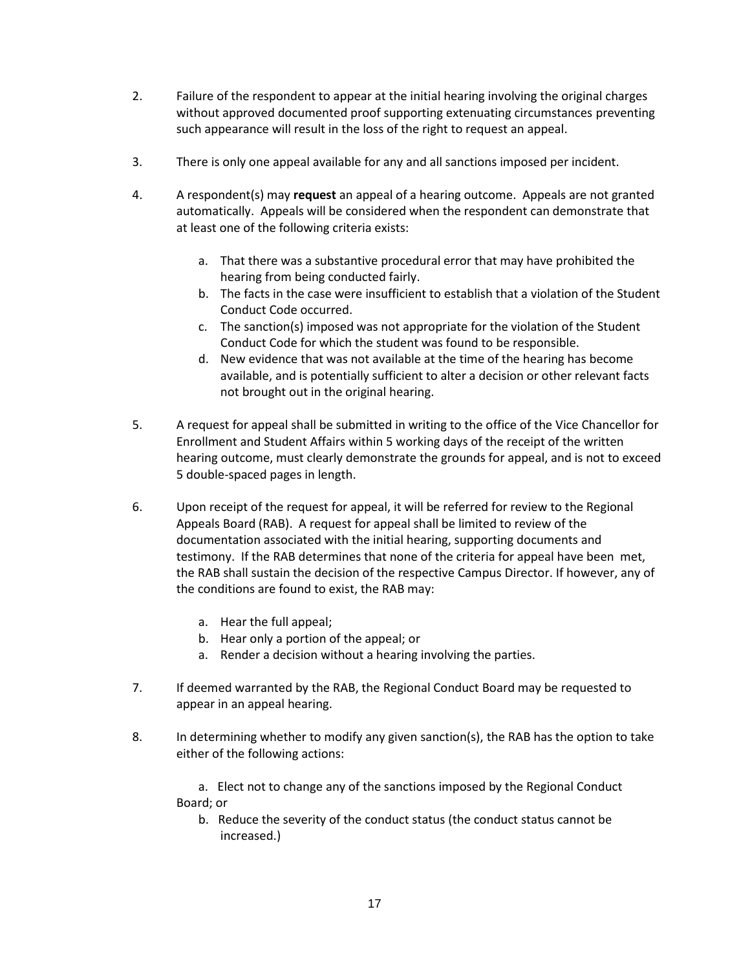- 2. Failure of the respondent to appear at the initial hearing involving the original charges without approved documented proof supporting extenuating circumstances preventing such appearance will result in the loss of the right to request an appeal.
- 3. There is only one appeal available for any and all sanctions imposed per incident.
- 4. A respondent(s) may **request** an appeal of a hearing outcome. Appeals are not granted automatically. Appeals will be considered when the respondent can demonstrate that at least one of the following criteria exists:
	- a. That there was a substantive procedural error that may have prohibited the hearing from being conducted fairly.
	- b. The facts in the case were insufficient to establish that a violation of the Student Conduct Code occurred.
	- c. The sanction(s) imposed was not appropriate for the violation of the Student Conduct Code for which the student was found to be responsible.
	- d. New evidence that was not available at the time of the hearing has become available, and is potentially sufficient to alter a decision or other relevant facts not brought out in the original hearing.
- 5. A request for appeal shall be submitted in writing to the office of the Vice Chancellor for Enrollment and Student Affairs within 5 working days of the receipt of the written hearing outcome, must clearly demonstrate the grounds for appeal, and is not to exceed 5 double-spaced pages in length.
- 6. Upon receipt of the request for appeal, it will be referred for review to the Regional Appeals Board (RAB). A request for appeal shall be limited to review of the documentation associated with the initial hearing, supporting documents and testimony. If the RAB determines that none of the criteria for appeal have been met, the RAB shall sustain the decision of the respective Campus Director. If however, any of the conditions are found to exist, the RAB may:
	- a. Hear the full appeal;
	- b. Hear only a portion of the appeal; or
	- a. Render a decision without a hearing involving the parties.
- 7. If deemed warranted by the RAB, the Regional Conduct Board may be requested to appear in an appeal hearing.
- 8. In determining whether to modify any given sanction(s), the RAB has the option to take either of the following actions:

a. Elect not to change any of the sanctions imposed by the Regional Conduct Board; or

b. Reduce the severity of the conduct status (the conduct status cannot be increased.)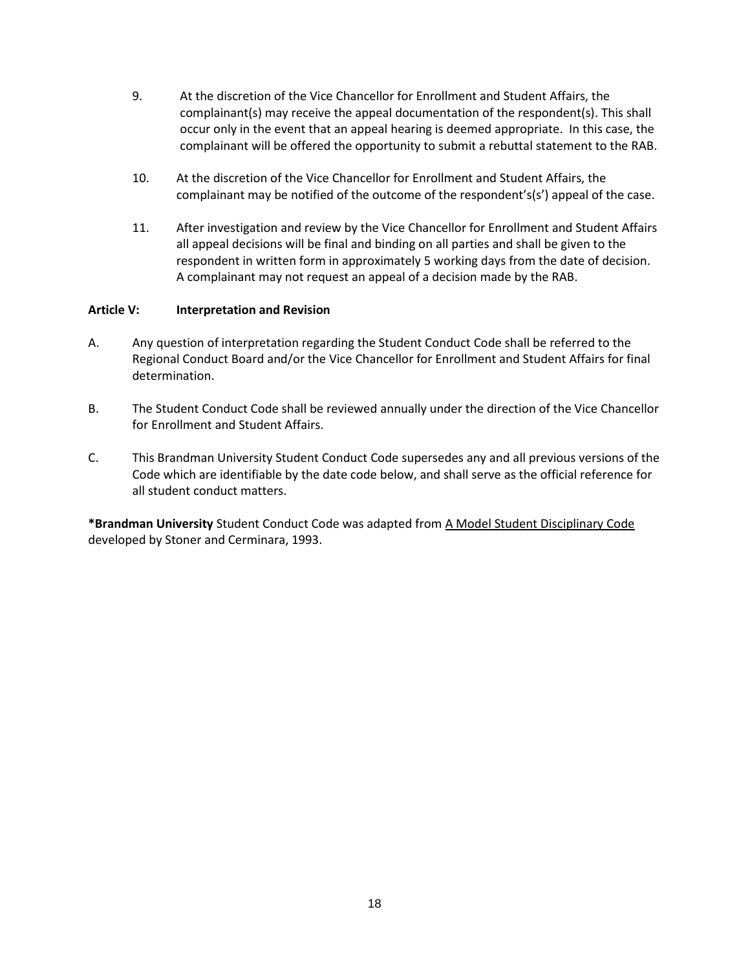- 9. At the discretion of the Vice Chancellor for Enrollment and Student Affairs, the complainant(s) may receive the appeal documentation of the respondent(s). This shall occur only in the event that an appeal hearing is deemed appropriate. In this case, the complainant will be offered the opportunity to submit a rebuttal statement to the RAB.
- 10. At the discretion of the Vice Chancellor for Enrollment and Student Affairs, the complainant may be notified of the outcome of the respondent's(s') appeal of the case.
- 11. After investigation and review by the Vice Chancellor for Enrollment and Student Affairs all appeal decisions will be final and binding on all parties and shall be given to the respondent in written form in approximately 5 working days from the date of decision. A complainant may not request an appeal of a decision made by the RAB.

#### **Article V: Interpretation and Revision**

- A. Any question of interpretation regarding the Student Conduct Code shall be referred to the Regional Conduct Board and/or the Vice Chancellor for Enrollment and Student Affairs for final determination.
- B. The Student Conduct Code shall be reviewed annually under the direction of the Vice Chancellor for Enrollment and Student Affairs.
- C. This Brandman University Student Conduct Code supersedes any and all previous versions of the Code which are identifiable by the date code below, and shall serve as the official reference for all student conduct matters.

**\*Brandman University** Student Conduct Code was adapted from A Model Student Disciplinary Code developed by Stoner and Cerminara, 1993.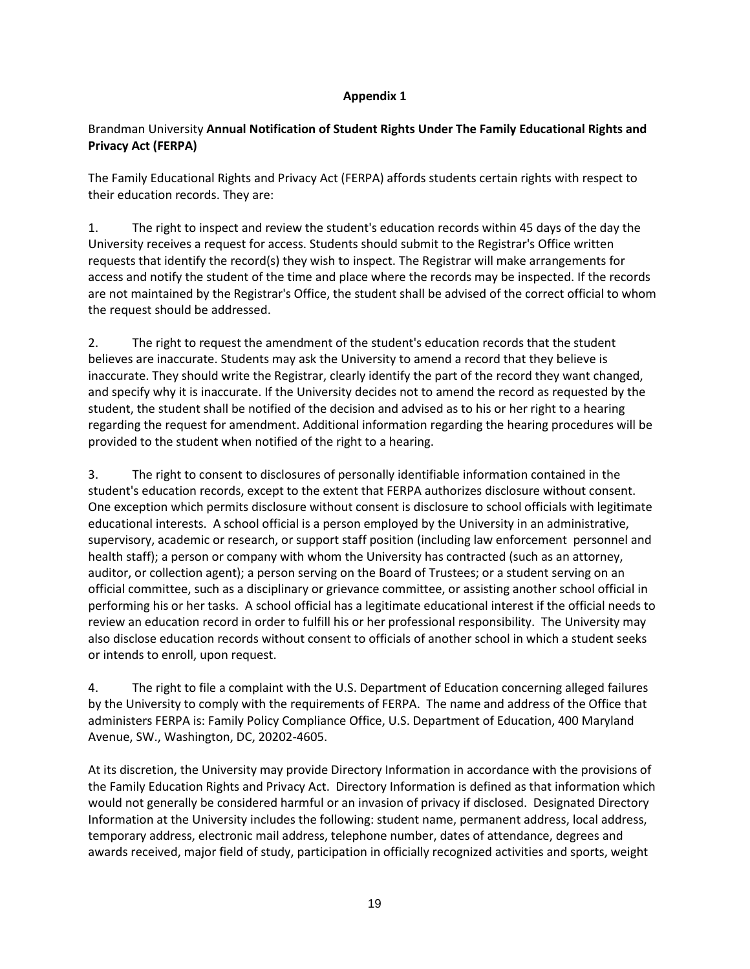#### **Appendix 1**

## Brandman University **Annual Notification of Student Rights Under The Family Educational Rights and Privacy Act (FERPA)**

The Family Educational Rights and Privacy Act (FERPA) affords students certain rights with respect to their education records. They are:

1. The right to inspect and review the student's education records within 45 days of the day the University receives a request for access. Students should submit to the Registrar's Office written requests that identify the record(s) they wish to inspect. The Registrar will make arrangements for access and notify the student of the time and place where the records may be inspected. If the records are not maintained by the Registrar's Office, the student shall be advised of the correct official to whom the request should be addressed.

2. The right to request the amendment of the student's education records that the student believes are inaccurate. Students may ask the University to amend a record that they believe is inaccurate. They should write the Registrar, clearly identify the part of the record they want changed, and specify why it is inaccurate. If the University decides not to amend the record as requested by the student, the student shall be notified of the decision and advised as to his or her right to a hearing regarding the request for amendment. Additional information regarding the hearing procedures will be provided to the student when notified of the right to a hearing.

3. The right to consent to disclosures of personally identifiable information contained in the student's education records, except to the extent that FERPA authorizes disclosure without consent. One exception which permits disclosure without consent is disclosure to school officials with legitimate educational interests. A school official is a person employed by the University in an administrative, supervisory, academic or research, or support staff position (including law enforcement personnel and health staff); a person or company with whom the University has contracted (such as an attorney, auditor, or collection agent); a person serving on the Board of Trustees; or a student serving on an official committee, such as a disciplinary or grievance committee, or assisting another school official in performing his or her tasks. A school official has a legitimate educational interest if the official needs to review an education record in order to fulfill his or her professional responsibility. The University may also disclose education records without consent to officials of another school in which a student seeks or intends to enroll, upon request.

4. The right to file a complaint with the U.S. Department of Education concerning alleged failures by the University to comply with the requirements of FERPA. The name and address of the Office that administers FERPA is: Family Policy Compliance Office, U.S. Department of Education, 400 Maryland Avenue, SW., Washington, DC, 20202-4605.

At its discretion, the University may provide Directory Information in accordance with the provisions of the Family Education Rights and Privacy Act. Directory Information is defined as that information which would not generally be considered harmful or an invasion of privacy if disclosed. Designated Directory Information at the University includes the following: student name, permanent address, local address, temporary address, electronic mail address, telephone number, dates of attendance, degrees and awards received, major field of study, participation in officially recognized activities and sports, weight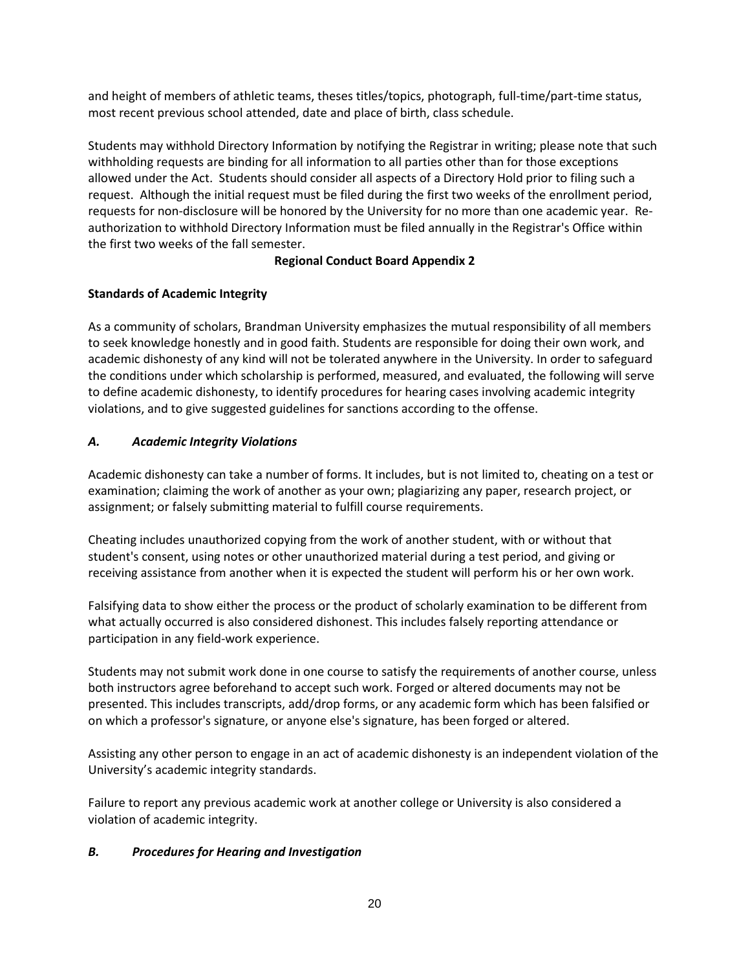and height of members of athletic teams, theses titles/topics, photograph, full-time/part-time status, most recent previous school attended, date and place of birth, class schedule.

Students may withhold Directory Information by notifying the Registrar in writing; please note that such withholding requests are binding for all information to all parties other than for those exceptions allowed under the Act. Students should consider all aspects of a Directory Hold prior to filing such a request. Although the initial request must be filed during the first two weeks of the enrollment period, requests for non-disclosure will be honored by the University for no more than one academic year. Reauthorization to withhold Directory Information must be filed annually in the Registrar's Office within the first two weeks of the fall semester.

### **Regional Conduct Board Appendix 2**

## **Standards of Academic Integrity**

As a community of scholars, Brandman University emphasizes the mutual responsibility of all members to seek knowledge honestly and in good faith. Students are responsible for doing their own work, and academic dishonesty of any kind will not be tolerated anywhere in the University. In order to safeguard the conditions under which scholarship is performed, measured, and evaluated, the following will serve to define academic dishonesty, to identify procedures for hearing cases involving academic integrity violations, and to give suggested guidelines for sanctions according to the offense.

## *A. Academic Integrity Violations*

Academic dishonesty can take a number of forms. It includes, but is not limited to, cheating on a test or examination; claiming the work of another as your own; plagiarizing any paper, research project, or assignment; or falsely submitting material to fulfill course requirements.

Cheating includes unauthorized copying from the work of another student, with or without that student's consent, using notes or other unauthorized material during a test period, and giving or receiving assistance from another when it is expected the student will perform his or her own work.

Falsifying data to show either the process or the product of scholarly examination to be different from what actually occurred is also considered dishonest. This includes falsely reporting attendance or participation in any field-work experience.

Students may not submit work done in one course to satisfy the requirements of another course, unless both instructors agree beforehand to accept such work. Forged or altered documents may not be presented. This includes transcripts, add/drop forms, or any academic form which has been falsified or on which a professor's signature, or anyone else's signature, has been forged or altered.

Assisting any other person to engage in an act of academic dishonesty is an independent violation of the University's academic integrity standards.

Failure to report any previous academic work at another college or University is also considered a violation of academic integrity.

## *B. Procedures for Hearing and Investigation*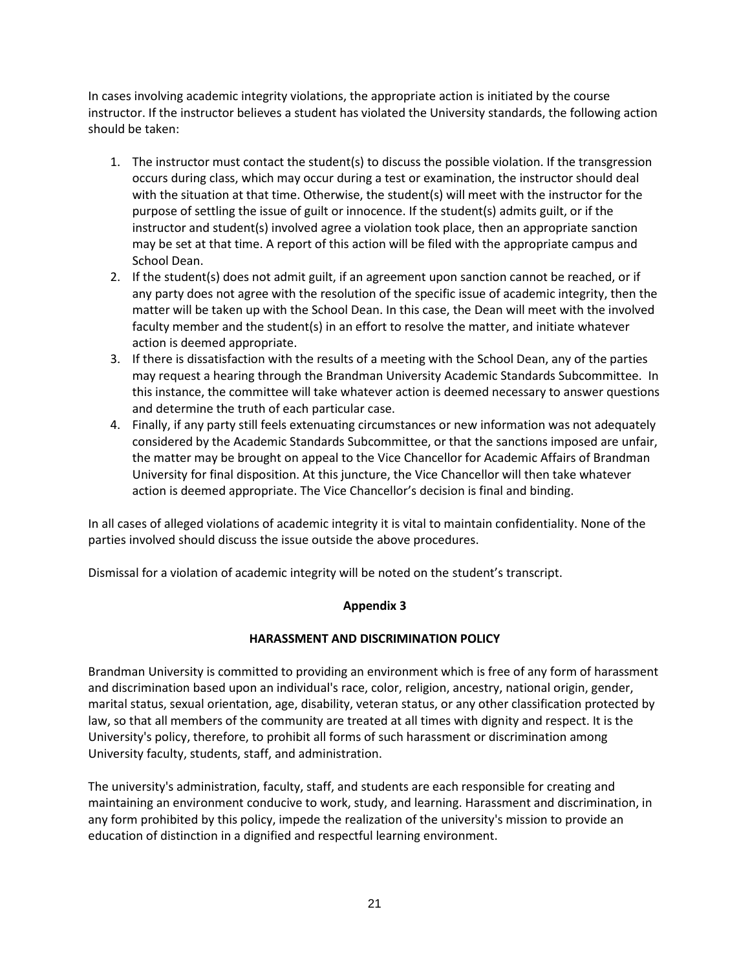In cases involving academic integrity violations, the appropriate action is initiated by the course instructor. If the instructor believes a student has violated the University standards, the following action should be taken:

- 1. The instructor must contact the student(s) to discuss the possible violation. If the transgression occurs during class, which may occur during a test or examination, the instructor should deal with the situation at that time. Otherwise, the student(s) will meet with the instructor for the purpose of settling the issue of guilt or innocence. If the student(s) admits guilt, or if the instructor and student(s) involved agree a violation took place, then an appropriate sanction may be set at that time. A report of this action will be filed with the appropriate campus and School Dean.
- 2. If the student(s) does not admit guilt, if an agreement upon sanction cannot be reached, or if any party does not agree with the resolution of the specific issue of academic integrity, then the matter will be taken up with the School Dean. In this case, the Dean will meet with the involved faculty member and the student(s) in an effort to resolve the matter, and initiate whatever action is deemed appropriate.
- 3. If there is dissatisfaction with the results of a meeting with the School Dean, any of the parties may request a hearing through the Brandman University Academic Standards Subcommittee. In this instance, the committee will take whatever action is deemed necessary to answer questions and determine the truth of each particular case.
- 4. Finally, if any party still feels extenuating circumstances or new information was not adequately considered by the Academic Standards Subcommittee, or that the sanctions imposed are unfair, the matter may be brought on appeal to the Vice Chancellor for Academic Affairs of Brandman University for final disposition. At this juncture, the Vice Chancellor will then take whatever action is deemed appropriate. The Vice Chancellor's decision is final and binding.

In all cases of alleged violations of academic integrity it is vital to maintain confidentiality. None of the parties involved should discuss the issue outside the above procedures.

Dismissal for a violation of academic integrity will be noted on the student's transcript.

## **Appendix 3**

#### **HARASSMENT AND DISCRIMINATION POLICY**

Brandman University is committed to providing an environment which is free of any form of harassment and discrimination based upon an individual's race, color, religion, ancestry, national origin, gender, marital status, sexual orientation, age, disability, veteran status, or any other classification protected by law, so that all members of the community are treated at all times with dignity and respect. It is the University's policy, therefore, to prohibit all forms of such harassment or discrimination among University faculty, students, staff, and administration.

The university's administration, faculty, staff, and students are each responsible for creating and maintaining an environment conducive to work, study, and learning. Harassment and discrimination, in any form prohibited by this policy, impede the realization of the university's mission to provide an education of distinction in a dignified and respectful learning environment.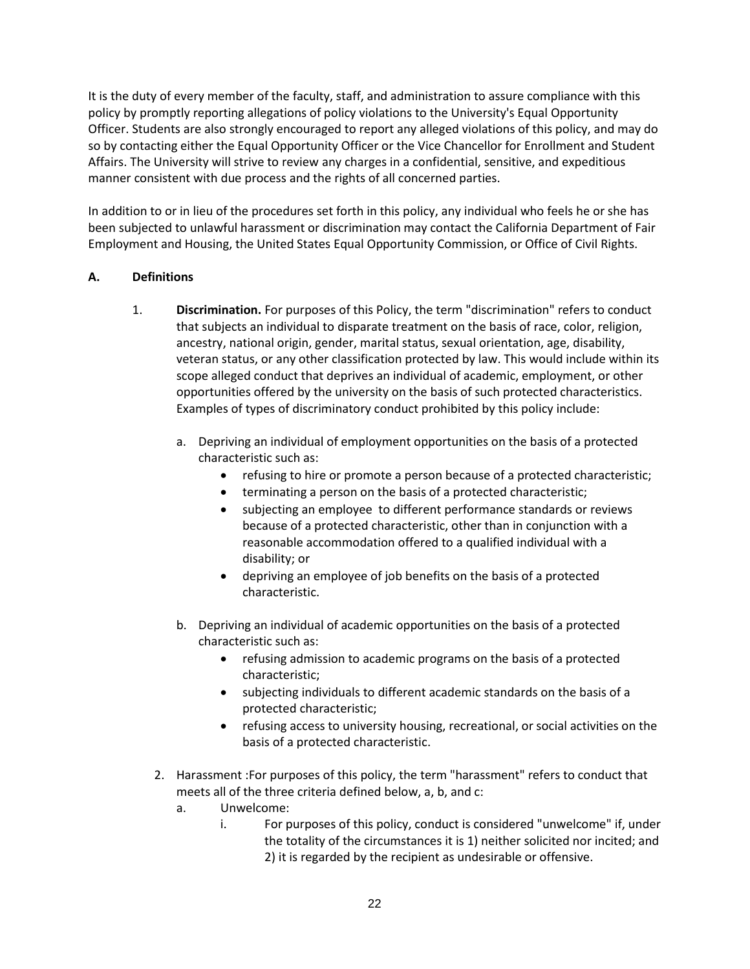It is the duty of every member of the faculty, staff, and administration to assure compliance with this policy by promptly reporting allegations of policy violations to the University's Equal Opportunity Officer. Students are also strongly encouraged to report any alleged violations of this policy, and may do so by contacting either the Equal Opportunity Officer or the Vice Chancellor for Enrollment and Student Affairs. The University will strive to review any charges in a confidential, sensitive, and expeditious manner consistent with due process and the rights of all concerned parties.

In addition to or in lieu of the procedures set forth in this policy, any individual who feels he or she has been subjected to unlawful harassment or discrimination may contact the California Department of Fair Employment and Housing, the United States Equal Opportunity Commission, or Office of Civil Rights.

#### **A. Definitions**

- 1. **Discrimination.** For purposes of this Policy, the term "discrimination" refers to conduct that subjects an individual to disparate treatment on the basis of race, color, religion, ancestry, national origin, gender, marital status, sexual orientation, age, disability, veteran status, or any other classification protected by law. This would include within its scope alleged conduct that deprives an individual of academic, employment, or other opportunities offered by the university on the basis of such protected characteristics. Examples of types of discriminatory conduct prohibited by this policy include:
	- a. Depriving an individual of employment opportunities on the basis of a protected characteristic such as:
		- refusing to hire or promote a person because of a protected characteristic;
		- terminating a person on the basis of a protected characteristic;
		- subjecting an employee to different performance standards or reviews because of a protected characteristic, other than in conjunction with a reasonable accommodation offered to a qualified individual with a disability; or
		- depriving an employee of job benefits on the basis of a protected characteristic.
	- b. Depriving an individual of academic opportunities on the basis of a protected characteristic such as:
		- refusing admission to academic programs on the basis of a protected characteristic;
		- subjecting individuals to different academic standards on the basis of a protected characteristic;
		- refusing access to university housing, recreational, or social activities on the basis of a protected characteristic.
	- 2. Harassment :For purposes of this policy, the term "harassment" refers to conduct that meets all of the three criteria defined below, a, b, and c:
		- a. Unwelcome:
			- i. For purposes of this policy, conduct is considered "unwelcome" if, under the totality of the circumstances it is 1) neither solicited nor incited; and 2) it is regarded by the recipient as undesirable or offensive.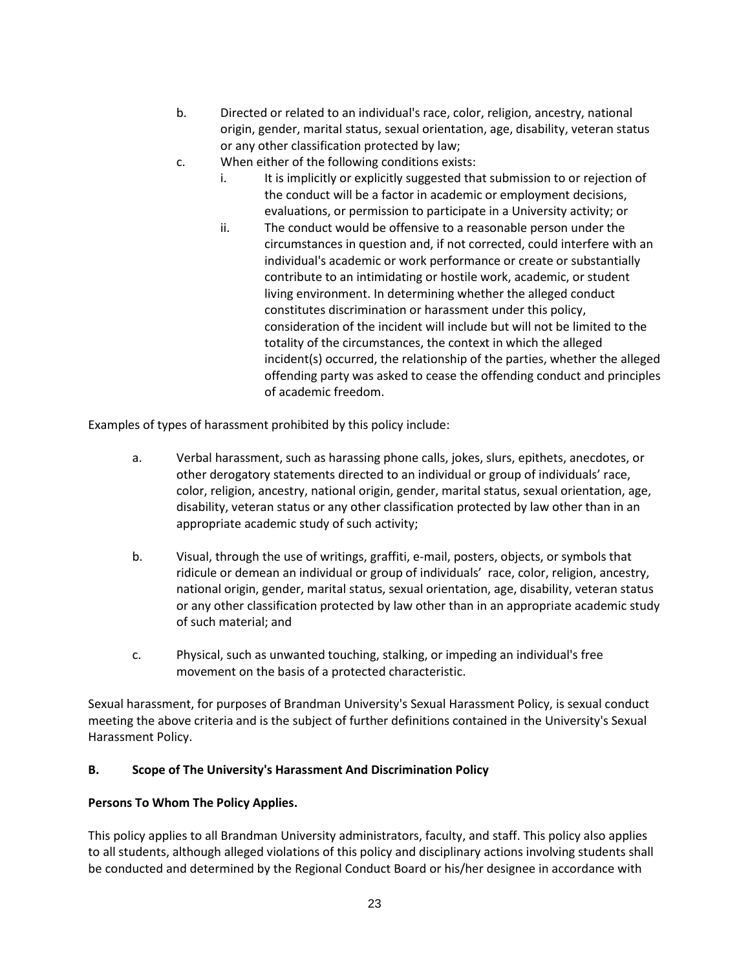- b. Directed or related to an individual's race, color, religion, ancestry, national origin, gender, marital status, sexual orientation, age, disability, veteran status or any other classification protected by law;
- c. When either of the following conditions exists:
	- i. It is implicitly or explicitly suggested that submission to or rejection of the conduct will be a factor in academic or employment decisions, evaluations, or permission to participate in a University activity; or
	- ii. The conduct would be offensive to a reasonable person under the circumstances in question and, if not corrected, could interfere with an individual's academic or work performance or create or substantially contribute to an intimidating or hostile work, academic, or student living environment. In determining whether the alleged conduct constitutes discrimination or harassment under this policy, consideration of the incident will include but will not be limited to the totality of the circumstances, the context in which the alleged incident(s) occurred, the relationship of the parties, whether the alleged offending party was asked to cease the offending conduct and principles of academic freedom.

Examples of types of harassment prohibited by this policy include:

- a. Verbal harassment, such as harassing phone calls, jokes, slurs, epithets, anecdotes, or other derogatory statements directed to an individual or group of individuals' race, color, religion, ancestry, national origin, gender, marital status, sexual orientation, age, disability, veteran status or any other classification protected by law other than in an appropriate academic study of such activity;
- b. Visual, through the use of writings, graffiti, e-mail, posters, objects, or symbols that ridicule or demean an individual or group of individuals' race, color, religion, ancestry, national origin, gender, marital status, sexual orientation, age, disability, veteran status or any other classification protected by law other than in an appropriate academic study of such material; and
- c. Physical, such as unwanted touching, stalking, or impeding an individual's free movement on the basis of a protected characteristic.

Sexual harassment, for purposes of Brandman University's Sexual Harassment Policy, is sexual conduct meeting the above criteria and is the subject of further definitions contained in the University's Sexual Harassment Policy.

## **B. Scope of The University's Harassment And Discrimination Policy**

## **Persons To Whom The Policy Applies.**

This policy applies to all Brandman University administrators, faculty, and staff. This policy also applies to all students, although alleged violations of this policy and disciplinary actions involving students shall be conducted and determined by the Regional Conduct Board or his/her designee in accordance with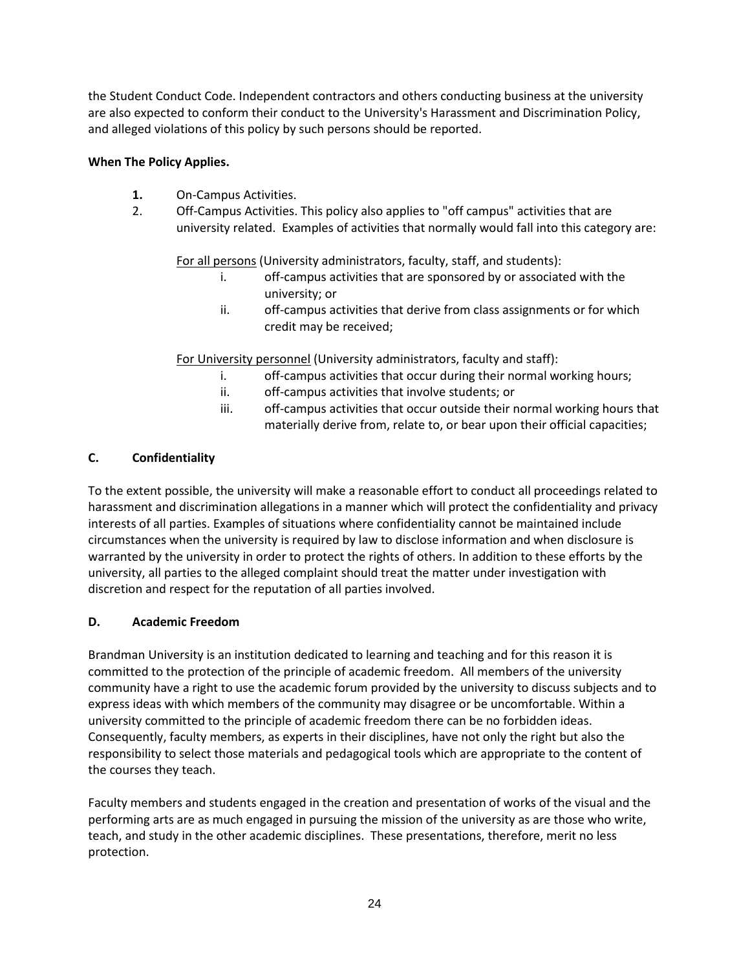the Student Conduct Code. Independent contractors and others conducting business at the university are also expected to conform their conduct to the University's Harassment and Discrimination Policy, and alleged violations of this policy by such persons should be reported.

## **When The Policy Applies.**

- **1.** On-Campus Activities.
- 2. Off-Campus Activities. This policy also applies to "off campus" activities that are university related. Examples of activities that normally would fall into this category are:

For all persons (University administrators, faculty, staff, and students):

- i. off-campus activities that are sponsored by or associated with the university; or
- ii. off-campus activities that derive from class assignments or for which credit may be received;

For University personnel (University administrators, faculty and staff):

- i. off-campus activities that occur during their normal working hours;
- ii. off-campus activities that involve students; or
- iii. off-campus activities that occur outside their normal working hours that materially derive from, relate to, or bear upon their official capacities;

# **C. Confidentiality**

To the extent possible, the university will make a reasonable effort to conduct all proceedings related to harassment and discrimination allegations in a manner which will protect the confidentiality and privacy interests of all parties. Examples of situations where confidentiality cannot be maintained include circumstances when the university is required by law to disclose information and when disclosure is warranted by the university in order to protect the rights of others. In addition to these efforts by the university, all parties to the alleged complaint should treat the matter under investigation with discretion and respect for the reputation of all parties involved.

## **D. Academic Freedom**

Brandman University is an institution dedicated to learning and teaching and for this reason it is committed to the protection of the principle of academic freedom. All members of the university community have a right to use the academic forum provided by the university to discuss subjects and to express ideas with which members of the community may disagree or be uncomfortable. Within a university committed to the principle of academic freedom there can be no forbidden ideas. Consequently, faculty members, as experts in their disciplines, have not only the right but also the responsibility to select those materials and pedagogical tools which are appropriate to the content of the courses they teach.

Faculty members and students engaged in the creation and presentation of works of the visual and the performing arts are as much engaged in pursuing the mission of the university as are those who write, teach, and study in the other academic disciplines. These presentations, therefore, merit no less protection.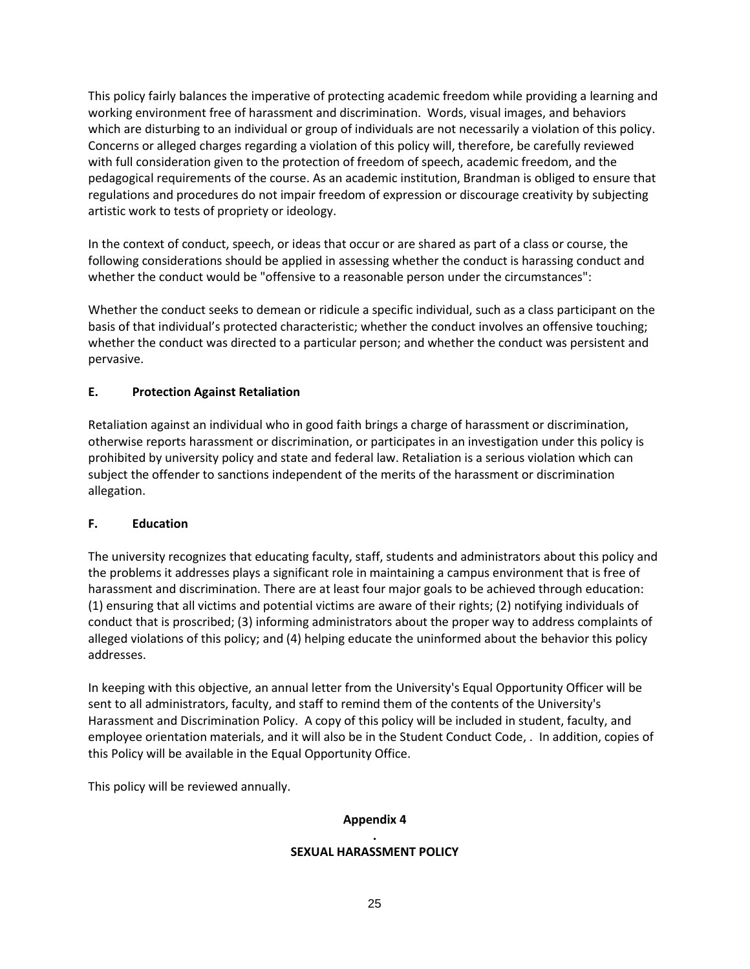This policy fairly balances the imperative of protecting academic freedom while providing a learning and working environment free of harassment and discrimination. Words, visual images, and behaviors which are disturbing to an individual or group of individuals are not necessarily a violation of this policy. Concerns or alleged charges regarding a violation of this policy will, therefore, be carefully reviewed with full consideration given to the protection of freedom of speech, academic freedom, and the pedagogical requirements of the course. As an academic institution, Brandman is obliged to ensure that regulations and procedures do not impair freedom of expression or discourage creativity by subjecting artistic work to tests of propriety or ideology.

In the context of conduct, speech, or ideas that occur or are shared as part of a class or course, the following considerations should be applied in assessing whether the conduct is harassing conduct and whether the conduct would be "offensive to a reasonable person under the circumstances":

Whether the conduct seeks to demean or ridicule a specific individual, such as a class participant on the basis of that individual's protected characteristic; whether the conduct involves an offensive touching; whether the conduct was directed to a particular person; and whether the conduct was persistent and pervasive.

## **E. Protection Against Retaliation**

Retaliation against an individual who in good faith brings a charge of harassment or discrimination, otherwise reports harassment or discrimination, or participates in an investigation under this policy is prohibited by university policy and state and federal law. Retaliation is a serious violation which can subject the offender to sanctions independent of the merits of the harassment or discrimination allegation.

## **F. Education**

The university recognizes that educating faculty, staff, students and administrators about this policy and the problems it addresses plays a significant role in maintaining a campus environment that is free of harassment and discrimination. There are at least four major goals to be achieved through education: (1) ensuring that all victims and potential victims are aware of their rights; (2) notifying individuals of conduct that is proscribed; (3) informing administrators about the proper way to address complaints of alleged violations of this policy; and (4) helping educate the uninformed about the behavior this policy addresses.

In keeping with this objective, an annual letter from the University's Equal Opportunity Officer will be sent to all administrators, faculty, and staff to remind them of the contents of the University's Harassment and Discrimination Policy. A copy of this policy will be included in student, faculty, and employee orientation materials, and it will also be in the Student Conduct Code, . In addition, copies of this Policy will be available in the Equal Opportunity Office.

This policy will be reviewed annually.

## **Appendix 4**

#### **. SEXUAL HARASSMENT POLICY**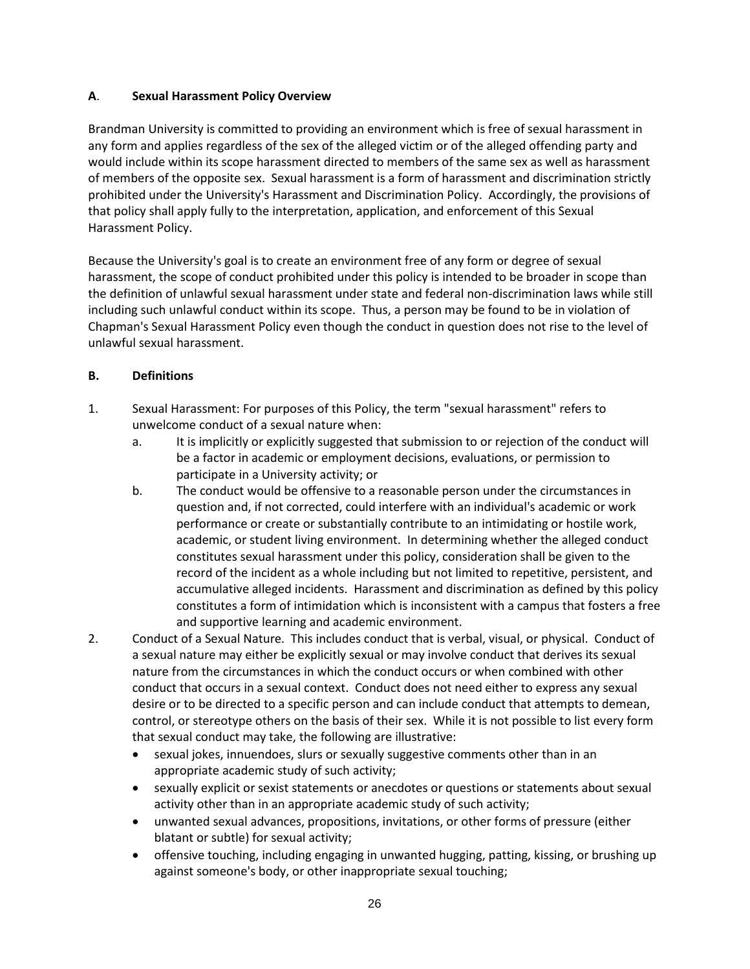### **A**. **Sexual Harassment Policy Overview**

Brandman University is committed to providing an environment which is free of sexual harassment in any form and applies regardless of the sex of the alleged victim or of the alleged offending party and would include within its scope harassment directed to members of the same sex as well as harassment of members of the opposite sex. Sexual harassment is a form of harassment and discrimination strictly prohibited under the University's Harassment and Discrimination Policy. Accordingly, the provisions of that policy shall apply fully to the interpretation, application, and enforcement of this Sexual Harassment Policy.

Because the University's goal is to create an environment free of any form or degree of sexual harassment, the scope of conduct prohibited under this policy is intended to be broader in scope than the definition of unlawful sexual harassment under state and federal non-discrimination laws while still including such unlawful conduct within its scope. Thus, a person may be found to be in violation of Chapman's Sexual Harassment Policy even though the conduct in question does not rise to the level of unlawful sexual harassment.

### **B. Definitions**

- 1. Sexual Harassment: For purposes of this Policy, the term "sexual harassment" refers to unwelcome conduct of a sexual nature when:
	- a. It is implicitly or explicitly suggested that submission to or rejection of the conduct will be a factor in academic or employment decisions, evaluations, or permission to participate in a University activity; or
	- b. The conduct would be offensive to a reasonable person under the circumstances in question and, if not corrected, could interfere with an individual's academic or work performance or create or substantially contribute to an intimidating or hostile work, academic, or student living environment. In determining whether the alleged conduct constitutes sexual harassment under this policy, consideration shall be given to the record of the incident as a whole including but not limited to repetitive, persistent, and accumulative alleged incidents. Harassment and discrimination as defined by this policy constitutes a form of intimidation which is inconsistent with a campus that fosters a free and supportive learning and academic environment.
- 2. Conduct of a Sexual Nature. This includes conduct that is verbal, visual, or physical. Conduct of a sexual nature may either be explicitly sexual or may involve conduct that derives its sexual nature from the circumstances in which the conduct occurs or when combined with other conduct that occurs in a sexual context. Conduct does not need either to express any sexual desire or to be directed to a specific person and can include conduct that attempts to demean, control, or stereotype others on the basis of their sex. While it is not possible to list every form that sexual conduct may take, the following are illustrative:
	- sexual jokes, innuendoes, slurs or sexually suggestive comments other than in an appropriate academic study of such activity;
	- sexually explicit or sexist statements or anecdotes or questions or statements about sexual activity other than in an appropriate academic study of such activity;
	- unwanted sexual advances, propositions, invitations, or other forms of pressure (either blatant or subtle) for sexual activity;
	- offensive touching, including engaging in unwanted hugging, patting, kissing, or brushing up against someone's body, or other inappropriate sexual touching;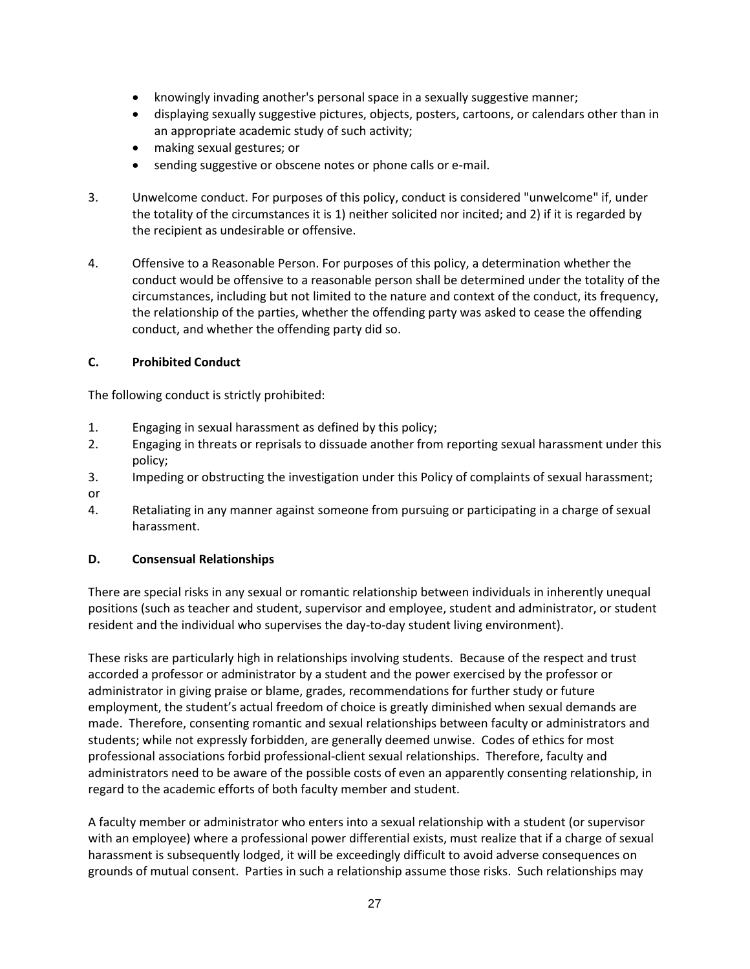- knowingly invading another's personal space in a sexually suggestive manner;
- displaying sexually suggestive pictures, objects, posters, cartoons, or calendars other than in an appropriate academic study of such activity;
- making sexual gestures; or
- sending suggestive or obscene notes or phone calls or e-mail.
- 3. Unwelcome conduct. For purposes of this policy, conduct is considered "unwelcome" if, under the totality of the circumstances it is 1) neither solicited nor incited; and 2) if it is regarded by the recipient as undesirable or offensive.
- 4. Offensive to a Reasonable Person. For purposes of this policy, a determination whether the conduct would be offensive to a reasonable person shall be determined under the totality of the circumstances, including but not limited to the nature and context of the conduct, its frequency, the relationship of the parties, whether the offending party was asked to cease the offending conduct, and whether the offending party did so.

## **C. Prohibited Conduct**

The following conduct is strictly prohibited:

- 1. Engaging in sexual harassment as defined by this policy;
- 2. Engaging in threats or reprisals to dissuade another from reporting sexual harassment under this policy;
- 3. Impeding or obstructing the investigation under this Policy of complaints of sexual harassment; or
- 4. Retaliating in any manner against someone from pursuing or participating in a charge of sexual harassment.

## **D. Consensual Relationships**

There are special risks in any sexual or romantic relationship between individuals in inherently unequal positions (such as teacher and student, supervisor and employee, student and administrator, or student resident and the individual who supervises the day-to-day student living environment).

These risks are particularly high in relationships involving students. Because of the respect and trust accorded a professor or administrator by a student and the power exercised by the professor or administrator in giving praise or blame, grades, recommendations for further study or future employment, the student's actual freedom of choice is greatly diminished when sexual demands are made. Therefore, consenting romantic and sexual relationships between faculty or administrators and students; while not expressly forbidden, are generally deemed unwise. Codes of ethics for most professional associations forbid professional-client sexual relationships. Therefore, faculty and administrators need to be aware of the possible costs of even an apparently consenting relationship, in regard to the academic efforts of both faculty member and student.

A faculty member or administrator who enters into a sexual relationship with a student (or supervisor with an employee) where a professional power differential exists, must realize that if a charge of sexual harassment is subsequently lodged, it will be exceedingly difficult to avoid adverse consequences on grounds of mutual consent. Parties in such a relationship assume those risks. Such relationships may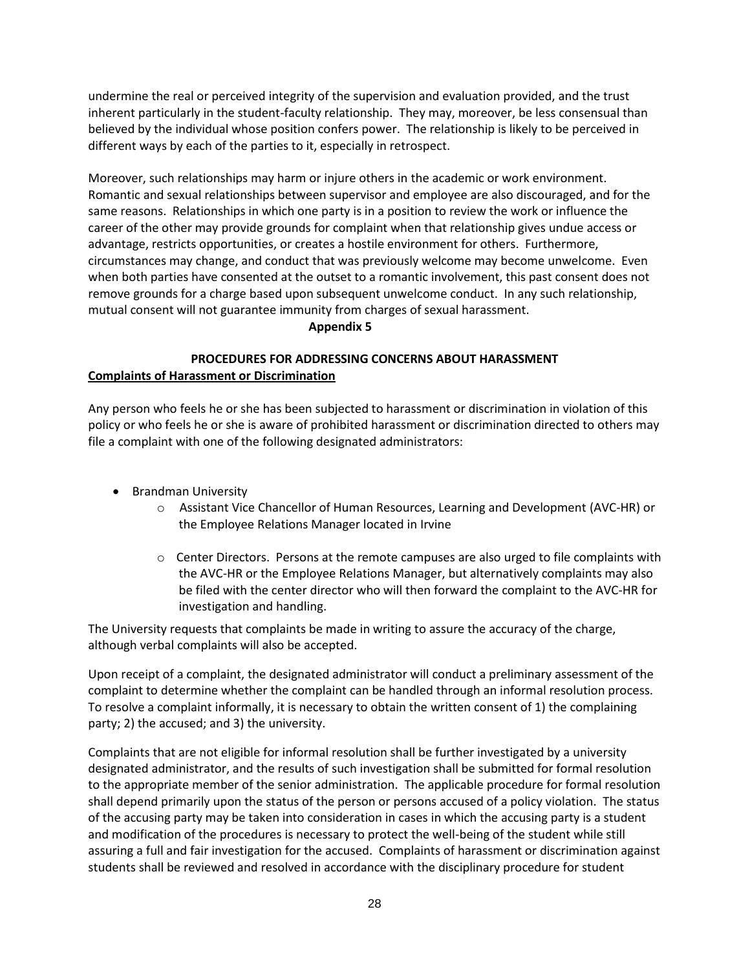undermine the real or perceived integrity of the supervision and evaluation provided, and the trust inherent particularly in the student-faculty relationship. They may, moreover, be less consensual than believed by the individual whose position confers power. The relationship is likely to be perceived in different ways by each of the parties to it, especially in retrospect.

Moreover, such relationships may harm or injure others in the academic or work environment. Romantic and sexual relationships between supervisor and employee are also discouraged, and for the same reasons. Relationships in which one party is in a position to review the work or influence the career of the other may provide grounds for complaint when that relationship gives undue access or advantage, restricts opportunities, or creates a hostile environment for others. Furthermore, circumstances may change, and conduct that was previously welcome may become unwelcome. Even when both parties have consented at the outset to a romantic involvement, this past consent does not remove grounds for a charge based upon subsequent unwelcome conduct. In any such relationship, mutual consent will not guarantee immunity from charges of sexual harassment.

#### **Appendix 5**

## **PROCEDURES FOR ADDRESSING CONCERNS ABOUT HARASSMENT Complaints of Harassment or Discrimination**

Any person who feels he or she has been subjected to harassment or discrimination in violation of this policy or who feels he or she is aware of prohibited harassment or discrimination directed to others may file a complaint with one of the following designated administrators:

- Brandman University
	- o Assistant Vice Chancellor of Human Resources, Learning and Development (AVC-HR) or the Employee Relations Manager located in Irvine
	- $\circ$  Center Directors. Persons at the remote campuses are also urged to file complaints with the AVC-HR or the Employee Relations Manager, but alternatively complaints may also be filed with the center director who will then forward the complaint to the AVC-HR for investigation and handling.

The University requests that complaints be made in writing to assure the accuracy of the charge, although verbal complaints will also be accepted.

Upon receipt of a complaint, the designated administrator will conduct a preliminary assessment of the complaint to determine whether the complaint can be handled through an informal resolution process. To resolve a complaint informally, it is necessary to obtain the written consent of 1) the complaining party; 2) the accused; and 3) the university.

Complaints that are not eligible for informal resolution shall be further investigated by a university designated administrator, and the results of such investigation shall be submitted for formal resolution to the appropriate member of the senior administration. The applicable procedure for formal resolution shall depend primarily upon the status of the person or persons accused of a policy violation. The status of the accusing party may be taken into consideration in cases in which the accusing party is a student and modification of the procedures is necessary to protect the well-being of the student while still assuring a full and fair investigation for the accused. Complaints of harassment or discrimination against students shall be reviewed and resolved in accordance with the disciplinary procedure for student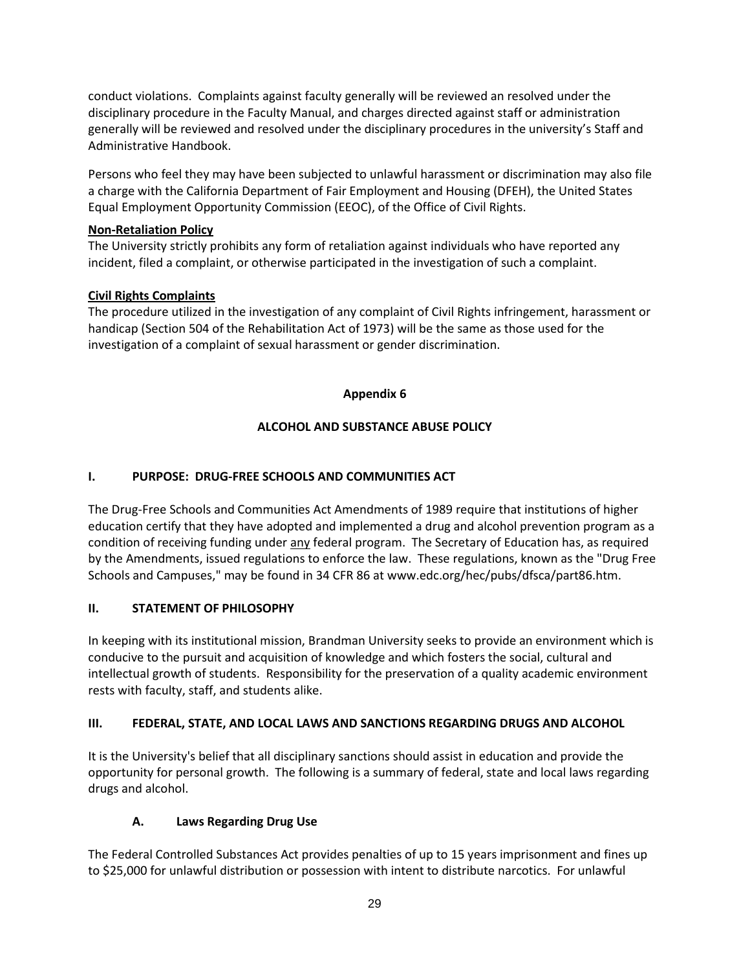conduct violations. Complaints against faculty generally will be reviewed an resolved under the disciplinary procedure in the Faculty Manual, and charges directed against staff or administration generally will be reviewed and resolved under the disciplinary procedures in the university's Staff and Administrative Handbook.

Persons who feel they may have been subjected to unlawful harassment or discrimination may also file a charge with the California Department of Fair Employment and Housing (DFEH), the United States Equal Employment Opportunity Commission (EEOC), of the Office of Civil Rights.

## **Non-Retaliation Policy**

The University strictly prohibits any form of retaliation against individuals who have reported any incident, filed a complaint, or otherwise participated in the investigation of such a complaint.

# **Civil Rights Complaints**

The procedure utilized in the investigation of any complaint of Civil Rights infringement, harassment or handicap (Section 504 of the Rehabilitation Act of 1973) will be the same as those used for the investigation of a complaint of sexual harassment or gender discrimination.

# **Appendix 6**

# **ALCOHOL AND SUBSTANCE ABUSE POLICY**

# **I. PURPOSE: DRUG-FREE SCHOOLS AND COMMUNITIES ACT**

The Drug-Free Schools and Communities Act Amendments of 1989 require that institutions of higher education certify that they have adopted and implemented a drug and alcohol prevention program as a condition of receiving funding under any federal program. The Secretary of Education has, as required by the Amendments, issued regulations to enforce the law. These regulations, known as the "Drug Free Schools and Campuses," may be found in 34 CFR 86 at www.edc.org/hec/pubs/dfsca/part86.htm.

# **II. STATEMENT OF PHILOSOPHY**

In keeping with its institutional mission, Brandman University seeks to provide an environment which is conducive to the pursuit and acquisition of knowledge and which fosters the social, cultural and intellectual growth of students. Responsibility for the preservation of a quality academic environment rests with faculty, staff, and students alike.

# **III. FEDERAL, STATE, AND LOCAL LAWS AND SANCTIONS REGARDING DRUGS AND ALCOHOL**

It is the University's belief that all disciplinary sanctions should assist in education and provide the opportunity for personal growth. The following is a summary of federal, state and local laws regarding drugs and alcohol.

# **A. Laws Regarding Drug Use**

The Federal Controlled Substances Act provides penalties of up to 15 years imprisonment and fines up to \$25,000 for unlawful distribution or possession with intent to distribute narcotics. For unlawful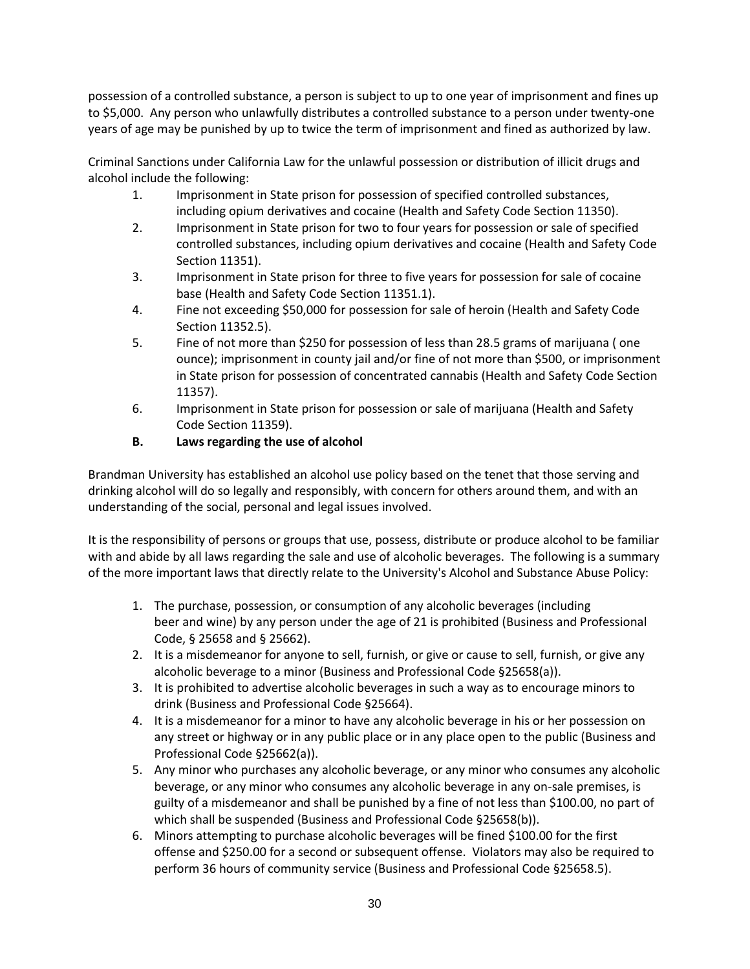possession of a controlled substance, a person is subject to up to one year of imprisonment and fines up to \$5,000. Any person who unlawfully distributes a controlled substance to a person under twenty-one years of age may be punished by up to twice the term of imprisonment and fined as authorized by law.

Criminal Sanctions under California Law for the unlawful possession or distribution of illicit drugs and alcohol include the following:

- 1. Imprisonment in State prison for possession of specified controlled substances, including opium derivatives and cocaine (Health and Safety Code Section 11350).
- 2. Imprisonment in State prison for two to four years for possession or sale of specified controlled substances, including opium derivatives and cocaine (Health and Safety Code Section 11351).
- 3. Imprisonment in State prison for three to five years for possession for sale of cocaine base (Health and Safety Code Section 11351.1).
- 4. Fine not exceeding \$50,000 for possession for sale of heroin (Health and Safety Code Section 11352.5).
- 5. Fine of not more than \$250 for possession of less than 28.5 grams of marijuana ( one ounce); imprisonment in county jail and/or fine of not more than \$500, or imprisonment in State prison for possession of concentrated cannabis (Health and Safety Code Section 11357).
- 6. Imprisonment in State prison for possession or sale of marijuana (Health and Safety Code Section 11359).
- **B. Laws regarding the use of alcohol**

Brandman University has established an alcohol use policy based on the tenet that those serving and drinking alcohol will do so legally and responsibly, with concern for others around them, and with an understanding of the social, personal and legal issues involved.

It is the responsibility of persons or groups that use, possess, distribute or produce alcohol to be familiar with and abide by all laws regarding the sale and use of alcoholic beverages. The following is a summary of the more important laws that directly relate to the University's Alcohol and Substance Abuse Policy:

- 1. The purchase, possession, or consumption of any alcoholic beverages (including beer and wine) by any person under the age of 21 is prohibited (Business and Professional Code, § 25658 and § 25662).
- 2. It is a misdemeanor for anyone to sell, furnish, or give or cause to sell, furnish, or give any alcoholic beverage to a minor (Business and Professional Code §25658(a)).
- 3. It is prohibited to advertise alcoholic beverages in such a way as to encourage minors to drink (Business and Professional Code §25664).
- 4. It is a misdemeanor for a minor to have any alcoholic beverage in his or her possession on any street or highway or in any public place or in any place open to the public (Business and Professional Code §25662(a)).
- 5. Any minor who purchases any alcoholic beverage, or any minor who consumes any alcoholic beverage, or any minor who consumes any alcoholic beverage in any on-sale premises, is guilty of a misdemeanor and shall be punished by a fine of not less than \$100.00, no part of which shall be suspended (Business and Professional Code §25658(b)).
- 6. Minors attempting to purchase alcoholic beverages will be fined \$100.00 for the first offense and \$250.00 for a second or subsequent offense. Violators may also be required to perform 36 hours of community service (Business and Professional Code §25658.5).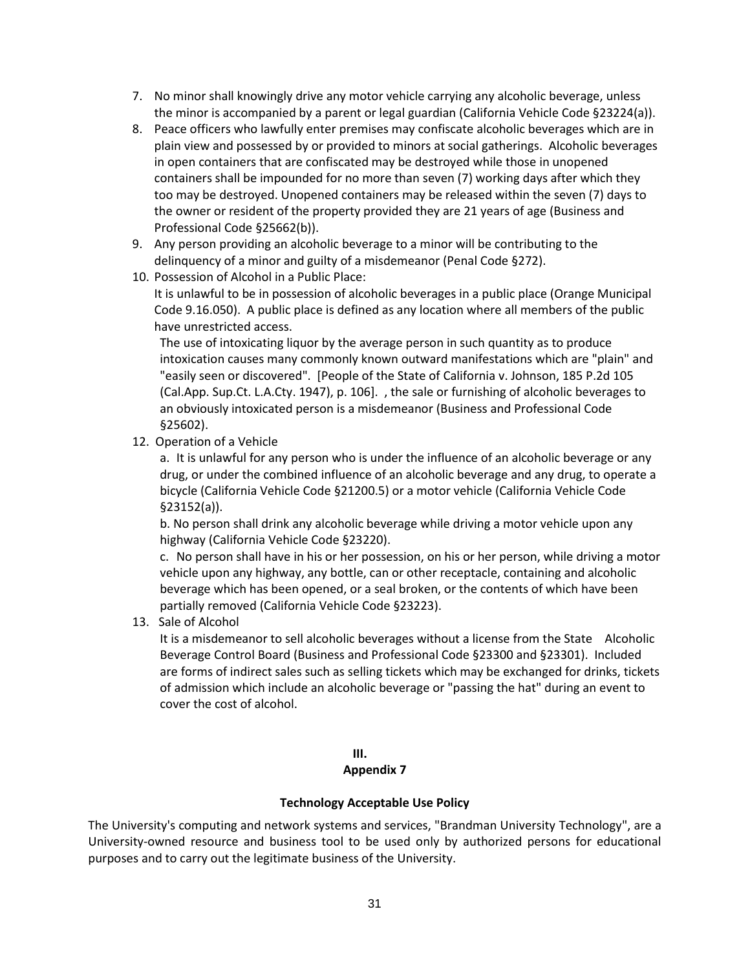- 7. No minor shall knowingly drive any motor vehicle carrying any alcoholic beverage, unless the minor is accompanied by a parent or legal guardian (California Vehicle Code §23224(a)).
- 8. Peace officers who lawfully enter premises may confiscate alcoholic beverages which are in plain view and possessed by or provided to minors at social gatherings. Alcoholic beverages in open containers that are confiscated may be destroyed while those in unopened containers shall be impounded for no more than seven (7) working days after which they too may be destroyed. Unopened containers may be released within the seven (7) days to the owner or resident of the property provided they are 21 years of age (Business and Professional Code §25662(b)).
- 9. Any person providing an alcoholic beverage to a minor will be contributing to the delinquency of a minor and guilty of a misdemeanor (Penal Code §272).
- 10. Possession of Alcohol in a Public Place:

It is unlawful to be in possession of alcoholic beverages in a public place (Orange Municipal Code 9.16.050). A public place is defined as any location where all members of the public have unrestricted access.

The use of intoxicating liquor by the average person in such quantity as to produce intoxication causes many commonly known outward manifestations which are "plain" and "easily seen or discovered". [People of the State of California v. Johnson, 185 P.2d 105 (Cal.App. Sup.Ct. L.A.Cty. 1947), p. 106]. , the sale or furnishing of alcoholic beverages to an obviously intoxicated person is a misdemeanor (Business and Professional Code §25602).

12. Operation of a Vehicle

a. It is unlawful for any person who is under the influence of an alcoholic beverage or any drug, or under the combined influence of an alcoholic beverage and any drug, to operate a bicycle (California Vehicle Code §21200.5) or a motor vehicle (California Vehicle Code §23152(a)).

b. No person shall drink any alcoholic beverage while driving a motor vehicle upon any highway (California Vehicle Code §23220).

c. No person shall have in his or her possession, on his or her person, while driving a motor vehicle upon any highway, any bottle, can or other receptacle, containing and alcoholic beverage which has been opened, or a seal broken, or the contents of which have been partially removed (California Vehicle Code §23223).

13. Sale of Alcohol

It is a misdemeanor to sell alcoholic beverages without a license from the State Alcoholic Beverage Control Board (Business and Professional Code §23300 and §23301). Included are forms of indirect sales such as selling tickets which may be exchanged for drinks, tickets of admission which include an alcoholic beverage or "passing the hat" during an event to cover the cost of alcohol.

### **III.**

#### **Appendix 7**

#### **Technology Acceptable Use Policy**

The University's computing and network systems and services, "Brandman University Technology", are a University-owned resource and business tool to be used only by authorized persons for educational purposes and to carry out the legitimate business of the University.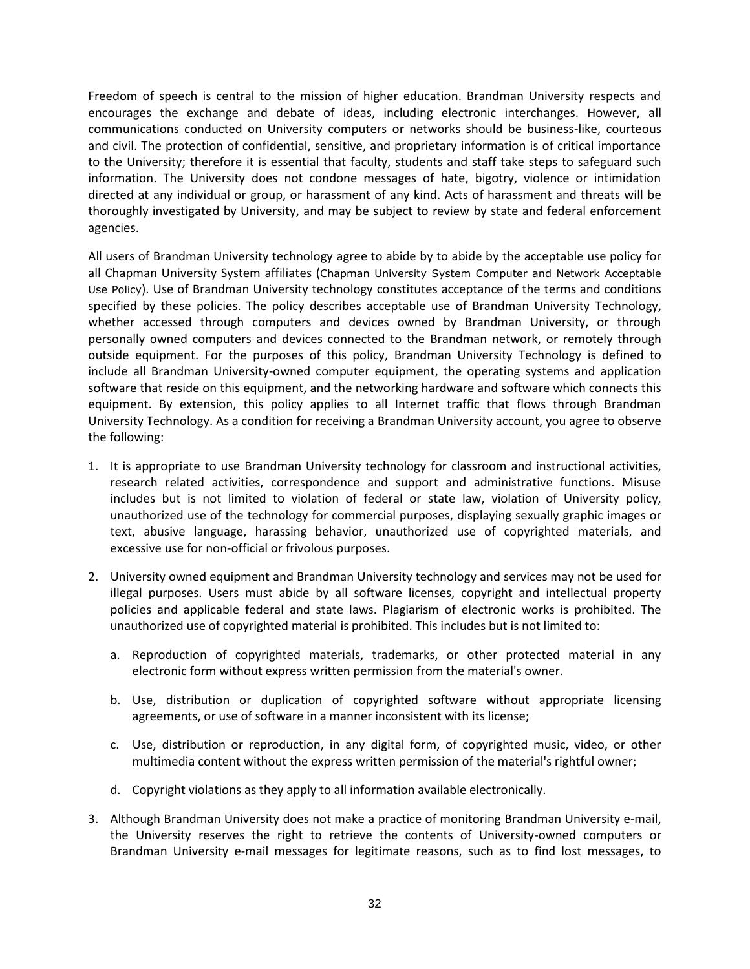Freedom of speech is central to the mission of higher education. Brandman University respects and encourages the exchange and debate of ideas, including electronic interchanges. However, all communications conducted on University computers or networks should be business-like, courteous and civil. The protection of confidential, sensitive, and proprietary information is of critical importance to the University; therefore it is essential that faculty, students and staff take steps to safeguard such information. The University does not condone messages of hate, bigotry, violence or intimidation directed at any individual or group, or harassment of any kind. Acts of harassment and threats will be thoroughly investigated by University, and may be subject to review by state and federal enforcement agencies.

All users of Brandman University technology agree to abide by to abide by the acceptable use policy for all Chapman University System affiliates (Chapman [University System Computer and Network Acceptable](http://www.chapman.edu/computing/policies/acceptableUsage.asp)  [Use Policy](http://www.chapman.edu/computing/policies/acceptableUsage.asp)). Use of Brandman University technology constitutes acceptance of the terms and conditions specified by these policies. The policy describes acceptable use of Brandman University Technology, whether accessed through computers and devices owned by Brandman University, or through personally owned computers and devices connected to the Brandman network, or remotely through outside equipment. For the purposes of this policy, Brandman University Technology is defined to include all Brandman University-owned computer equipment, the operating systems and application software that reside on this equipment, and the networking hardware and software which connects this equipment. By extension, this policy applies to all Internet traffic that flows through Brandman University Technology. As a condition for receiving a Brandman University account, you agree to observe the following:

- 1. It is appropriate to use Brandman University technology for classroom and instructional activities, research related activities, correspondence and support and administrative functions. Misuse includes but is not limited to violation of federal or state law, violation of University policy, unauthorized use of the technology for commercial purposes, displaying sexually graphic images or text, abusive language, harassing behavior, unauthorized use of copyrighted materials, and excessive use for non-official or frivolous purposes.
- 2. University owned equipment and Brandman University technology and services may not be used for illegal purposes. Users must abide by all software licenses, copyright and intellectual property policies and applicable federal and state laws. Plagiarism of electronic works is prohibited. The unauthorized use of copyrighted material is prohibited. This includes but is not limited to:
	- a. Reproduction of copyrighted materials, trademarks, or other protected material in any electronic form without express written permission from the material's owner.
	- b. Use, distribution or duplication of copyrighted software without appropriate licensing agreements, or use of software in a manner inconsistent with its license;
	- c. Use, distribution or reproduction, in any digital form, of copyrighted music, video, or other multimedia content without the express written permission of the material's rightful owner;
	- d. Copyright violations as they apply to all information available electronically.
- 3. Although Brandman University does not make a practice of monitoring Brandman University e-mail, the University reserves the right to retrieve the contents of University-owned computers or Brandman University e-mail messages for legitimate reasons, such as to find lost messages, to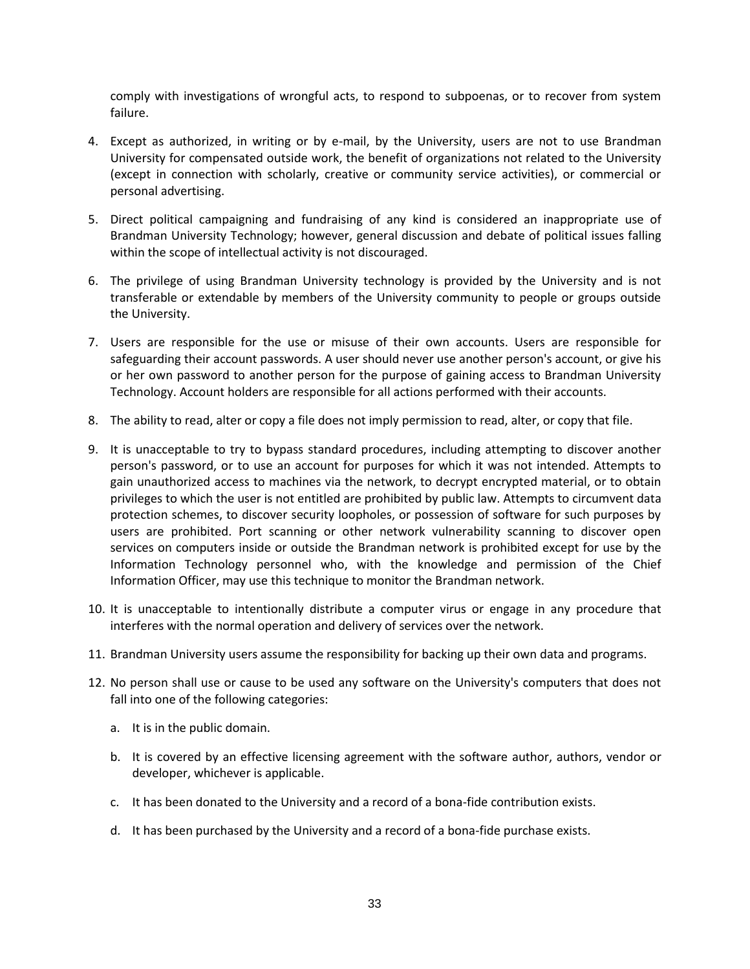comply with investigations of wrongful acts, to respond to subpoenas, or to recover from system failure.

- 4. Except as authorized, in writing or by e-mail, by the University, users are not to use Brandman University for compensated outside work, the benefit of organizations not related to the University (except in connection with scholarly, creative or community service activities), or commercial or personal advertising.
- 5. Direct political campaigning and fundraising of any kind is considered an inappropriate use of Brandman University Technology; however, general discussion and debate of political issues falling within the scope of intellectual activity is not discouraged.
- 6. The privilege of using Brandman University technology is provided by the University and is not transferable or extendable by members of the University community to people or groups outside the University.
- 7. Users are responsible for the use or misuse of their own accounts. Users are responsible for safeguarding their account passwords. A user should never use another person's account, or give his or her own password to another person for the purpose of gaining access to Brandman University Technology. Account holders are responsible for all actions performed with their accounts.
- 8. The ability to read, alter or copy a file does not imply permission to read, alter, or copy that file.
- 9. It is unacceptable to try to bypass standard procedures, including attempting to discover another person's password, or to use an account for purposes for which it was not intended. Attempts to gain unauthorized access to machines via the network, to decrypt encrypted material, or to obtain privileges to which the user is not entitled are prohibited by public law. Attempts to circumvent data protection schemes, to discover security loopholes, or possession of software for such purposes by users are prohibited. Port scanning or other network vulnerability scanning to discover open services on computers inside or outside the Brandman network is prohibited except for use by the Information Technology personnel who, with the knowledge and permission of the Chief Information Officer, may use this technique to monitor the Brandman network.
- 10. It is unacceptable to intentionally distribute a computer virus or engage in any procedure that interferes with the normal operation and delivery of services over the network.
- 11. Brandman University users assume the responsibility for backing up their own data and programs.
- 12. No person shall use or cause to be used any software on the University's computers that does not fall into one of the following categories:
	- a. It is in the public domain.
	- b. It is covered by an effective licensing agreement with the software author, authors, vendor or developer, whichever is applicable.
	- c. It has been donated to the University and a record of a bona-fide contribution exists.
	- d. It has been purchased by the University and a record of a bona-fide purchase exists.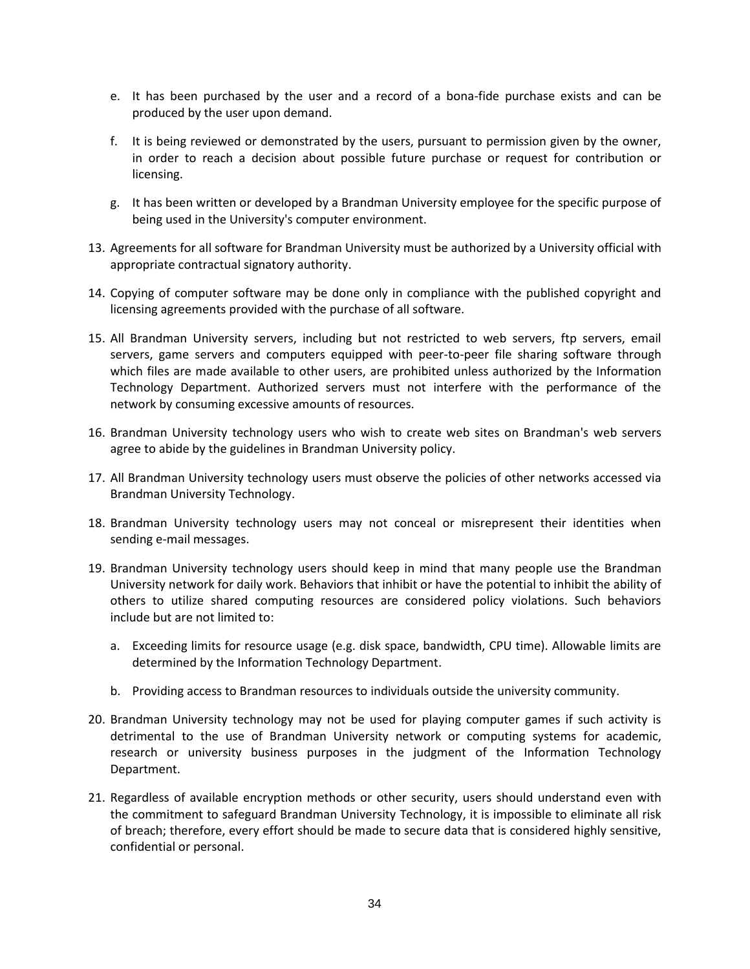- e. It has been purchased by the user and a record of a bona-fide purchase exists and can be produced by the user upon demand.
- f. It is being reviewed or demonstrated by the users, pursuant to permission given by the owner, in order to reach a decision about possible future purchase or request for contribution or licensing.
- g. It has been written or developed by a Brandman University employee for the specific purpose of being used in the University's computer environment.
- 13. Agreements for all software for Brandman University must be authorized by a University official with appropriate contractual signatory authority.
- 14. Copying of computer software may be done only in compliance with the published copyright and licensing agreements provided with the purchase of all software.
- 15. All Brandman University servers, including but not restricted to web servers, ftp servers, email servers, game servers and computers equipped with peer-to-peer file sharing software through which files are made available to other users, are prohibited unless authorized by the Information Technology Department. Authorized servers must not interfere with the performance of the network by consuming excessive amounts of resources.
- 16. Brandman University technology users who wish to create web sites on Brandman's web servers agree to abide by the guidelines in Brandman University policy.
- 17. All Brandman University technology users must observe the policies of other networks accessed via Brandman University Technology.
- 18. Brandman University technology users may not conceal or misrepresent their identities when sending e-mail messages.
- 19. Brandman University technology users should keep in mind that many people use the Brandman University network for daily work. Behaviors that inhibit or have the potential to inhibit the ability of others to utilize shared computing resources are considered policy violations. Such behaviors include but are not limited to:
	- a. Exceeding limits for resource usage (e.g. disk space, bandwidth, CPU time). Allowable limits are determined by the Information Technology Department.
	- b. Providing access to Brandman resources to individuals outside the university community.
- 20. Brandman University technology may not be used for playing computer games if such activity is detrimental to the use of Brandman University network or computing systems for academic, research or university business purposes in the judgment of the Information Technology Department.
- 21. Regardless of available encryption methods or other security, users should understand even with the commitment to safeguard Brandman University Technology, it is impossible to eliminate all risk of breach; therefore, every effort should be made to secure data that is considered highly sensitive, confidential or personal.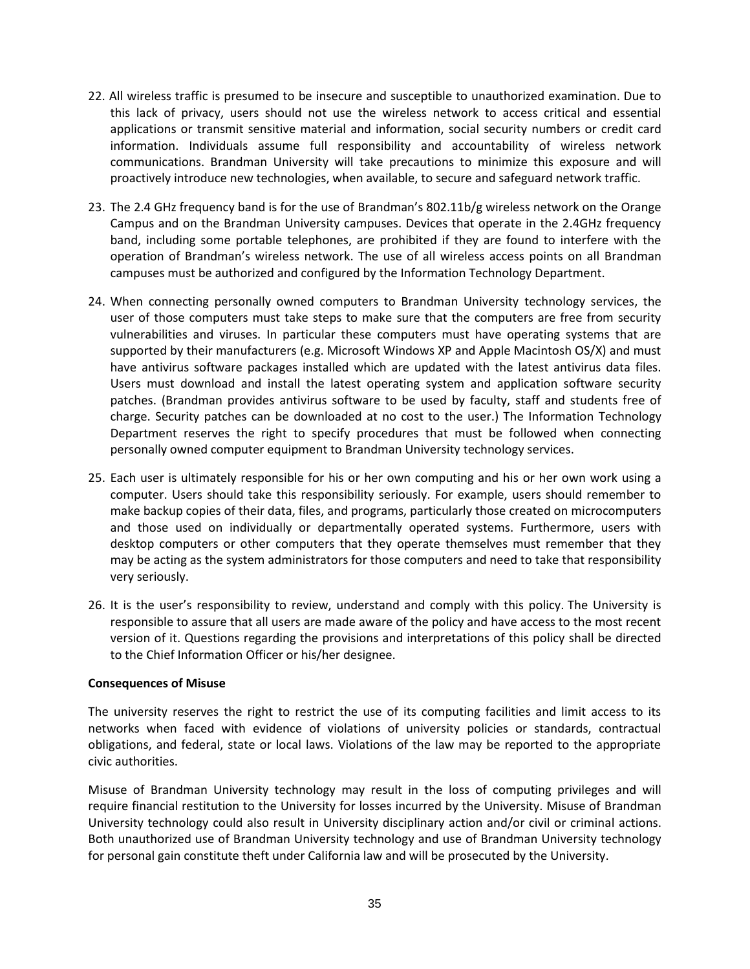- 22. All wireless traffic is presumed to be insecure and susceptible to unauthorized examination. Due to this lack of privacy, users should not use the wireless network to access critical and essential applications or transmit sensitive material and information, social security numbers or credit card information. Individuals assume full responsibility and accountability of wireless network communications. Brandman University will take precautions to minimize this exposure and will proactively introduce new technologies, when available, to secure and safeguard network traffic.
- 23. The 2.4 GHz frequency band is for the use of Brandman's 802.11b/g wireless network on the Orange Campus and on the Brandman University campuses. Devices that operate in the 2.4GHz frequency band, including some portable telephones, are prohibited if they are found to interfere with the operation of Brandman's wireless network. The use of all wireless access points on all Brandman campuses must be authorized and configured by the Information Technology Department.
- 24. When connecting personally owned computers to Brandman University technology services, the user of those computers must take steps to make sure that the computers are free from security vulnerabilities and viruses. In particular these computers must have operating systems that are supported by their manufacturers (e.g. Microsoft Windows XP and Apple Macintosh OS/X) and must have antivirus software packages installed which are updated with the latest antivirus data files. Users must download and install the latest operating system and application software security patches. (Brandman provides antivirus software to be used by faculty, staff and students free of charge. Security patches can be downloaded at no cost to the user.) The Information Technology Department reserves the right to specify procedures that must be followed when connecting personally owned computer equipment to Brandman University technology services.
- 25. Each user is ultimately responsible for his or her own computing and his or her own work using a computer. Users should take this responsibility seriously. For example, users should remember to make backup copies of their data, files, and programs, particularly those created on microcomputers and those used on individually or departmentally operated systems. Furthermore, users with desktop computers or other computers that they operate themselves must remember that they may be acting as the system administrators for those computers and need to take that responsibility very seriously.
- 26. It is the user's responsibility to review, understand and comply with this policy. The University is responsible to assure that all users are made aware of the policy and have access to the most recent version of it. Questions regarding the provisions and interpretations of this policy shall be directed to the Chief Information Officer or his/her designee.

#### **Consequences of Misuse**

The university reserves the right to restrict the use of its computing facilities and limit access to its networks when faced with evidence of violations of university policies or standards, contractual obligations, and federal, state or local laws. Violations of the law may be reported to the appropriate civic authorities.

Misuse of Brandman University technology may result in the loss of computing privileges and will require financial restitution to the University for losses incurred by the University. Misuse of Brandman University technology could also result in University disciplinary action and/or civil or criminal actions. Both unauthorized use of Brandman University technology and use of Brandman University technology for personal gain constitute theft under California law and will be prosecuted by the University.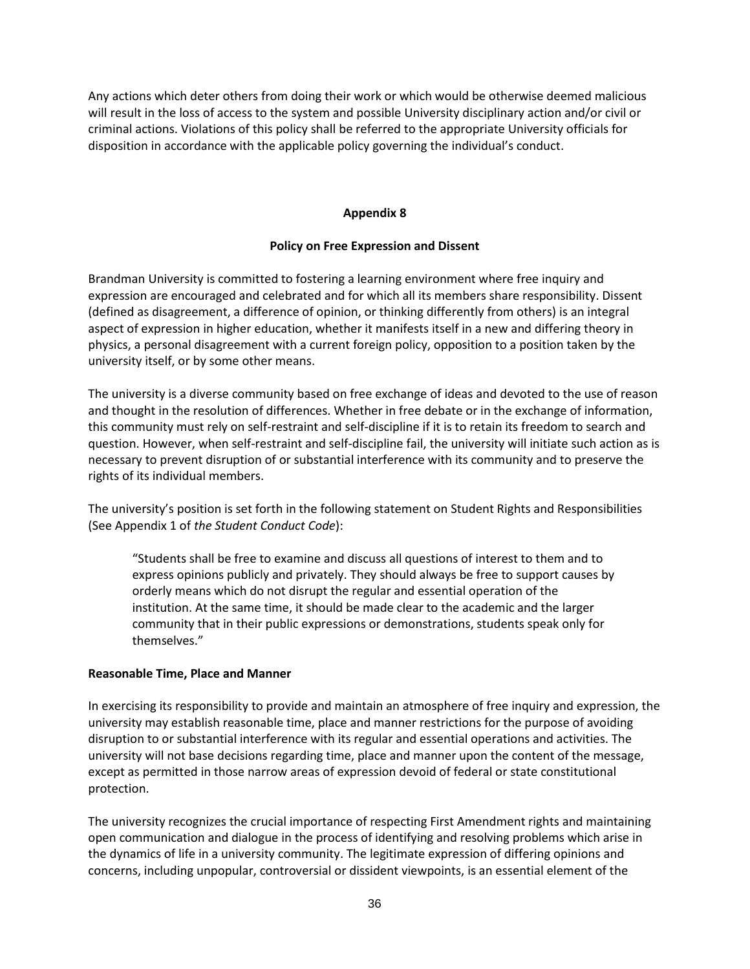Any actions which deter others from doing their work or which would be otherwise deemed malicious will result in the loss of access to the system and possible University disciplinary action and/or civil or criminal actions. Violations of this policy shall be referred to the appropriate University officials for disposition in accordance with the applicable policy governing the individual's conduct.

#### **Appendix 8**

#### **Policy on Free Expression and Dissent**

Brandman University is committed to fostering a learning environment where free inquiry and expression are encouraged and celebrated and for which all its members share responsibility. Dissent (defined as disagreement, a difference of opinion, or thinking differently from others) is an integral aspect of expression in higher education, whether it manifests itself in a new and differing theory in physics, a personal disagreement with a current foreign policy, opposition to a position taken by the university itself, or by some other means.

The university is a diverse community based on free exchange of ideas and devoted to the use of reason and thought in the resolution of differences. Whether in free debate or in the exchange of information, this community must rely on self-restraint and self-discipline if it is to retain its freedom to search and question. However, when self-restraint and self-discipline fail, the university will initiate such action as is necessary to prevent disruption of or substantial interference with its community and to preserve the rights of its individual members.

The university's position is set forth in the following statement on Student Rights and Responsibilities (See Appendix 1 of *the Student Conduct Code*):

"Students shall be free to examine and discuss all questions of interest to them and to express opinions publicly and privately. They should always be free to support causes by orderly means which do not disrupt the regular and essential operation of the institution. At the same time, it should be made clear to the academic and the larger community that in their public expressions or demonstrations, students speak only for themselves."

#### **Reasonable Time, Place and Manner**

In exercising its responsibility to provide and maintain an atmosphere of free inquiry and expression, the university may establish reasonable time, place and manner restrictions for the purpose of avoiding disruption to or substantial interference with its regular and essential operations and activities. The university will not base decisions regarding time, place and manner upon the content of the message, except as permitted in those narrow areas of expression devoid of federal or state constitutional protection.

The university recognizes the crucial importance of respecting First Amendment rights and maintaining open communication and dialogue in the process of identifying and resolving problems which arise in the dynamics of life in a university community. The legitimate expression of differing opinions and concerns, including unpopular, controversial or dissident viewpoints, is an essential element of the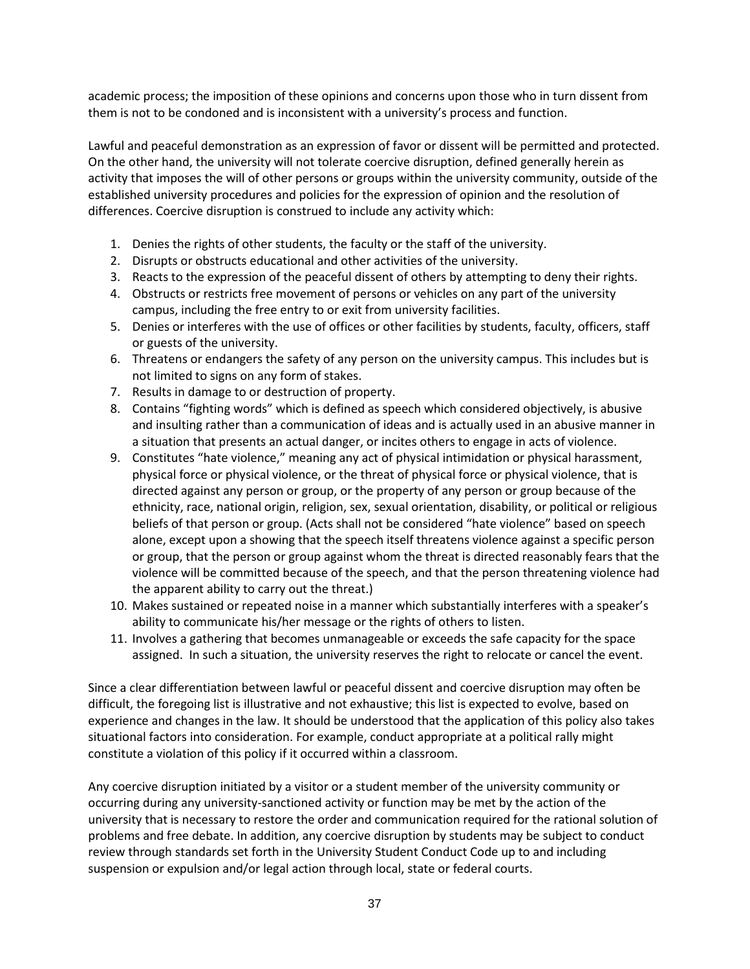academic process; the imposition of these opinions and concerns upon those who in turn dissent from them is not to be condoned and is inconsistent with a university's process and function.

Lawful and peaceful demonstration as an expression of favor or dissent will be permitted and protected. On the other hand, the university will not tolerate coercive disruption, defined generally herein as activity that imposes the will of other persons or groups within the university community, outside of the established university procedures and policies for the expression of opinion and the resolution of differences. Coercive disruption is construed to include any activity which:

- 1. Denies the rights of other students, the faculty or the staff of the university.
- 2. Disrupts or obstructs educational and other activities of the university.
- 3. Reacts to the expression of the peaceful dissent of others by attempting to deny their rights.
- 4. Obstructs or restricts free movement of persons or vehicles on any part of the university campus, including the free entry to or exit from university facilities.
- 5. Denies or interferes with the use of offices or other facilities by students, faculty, officers, staff or guests of the university.
- 6. Threatens or endangers the safety of any person on the university campus. This includes but is not limited to signs on any form of stakes.
- 7. Results in damage to or destruction of property.
- 8. Contains "fighting words" which is defined as speech which considered objectively, is abusive and insulting rather than a communication of ideas and is actually used in an abusive manner in a situation that presents an actual danger, or incites others to engage in acts of violence.
- 9. Constitutes "hate violence," meaning any act of physical intimidation or physical harassment, physical force or physical violence, or the threat of physical force or physical violence, that is directed against any person or group, or the property of any person or group because of the ethnicity, race, national origin, religion, sex, sexual orientation, disability, or political or religious beliefs of that person or group. (Acts shall not be considered "hate violence" based on speech alone, except upon a showing that the speech itself threatens violence against a specific person or group, that the person or group against whom the threat is directed reasonably fears that the violence will be committed because of the speech, and that the person threatening violence had the apparent ability to carry out the threat.)
- 10. Makes sustained or repeated noise in a manner which substantially interferes with a speaker's ability to communicate his/her message or the rights of others to listen.
- 11. Involves a gathering that becomes unmanageable or exceeds the safe capacity for the space assigned. In such a situation, the university reserves the right to relocate or cancel the event.

Since a clear differentiation between lawful or peaceful dissent and coercive disruption may often be difficult, the foregoing list is illustrative and not exhaustive; this list is expected to evolve, based on experience and changes in the law. It should be understood that the application of this policy also takes situational factors into consideration. For example, conduct appropriate at a political rally might constitute a violation of this policy if it occurred within a classroom.

Any coercive disruption initiated by a visitor or a student member of the university community or occurring during any university-sanctioned activity or function may be met by the action of the university that is necessary to restore the order and communication required for the rational solution of problems and free debate. In addition, any coercive disruption by students may be subject to conduct review through standards set forth in the University Student Conduct Code up to and including suspension or expulsion and/or legal action through local, state or federal courts.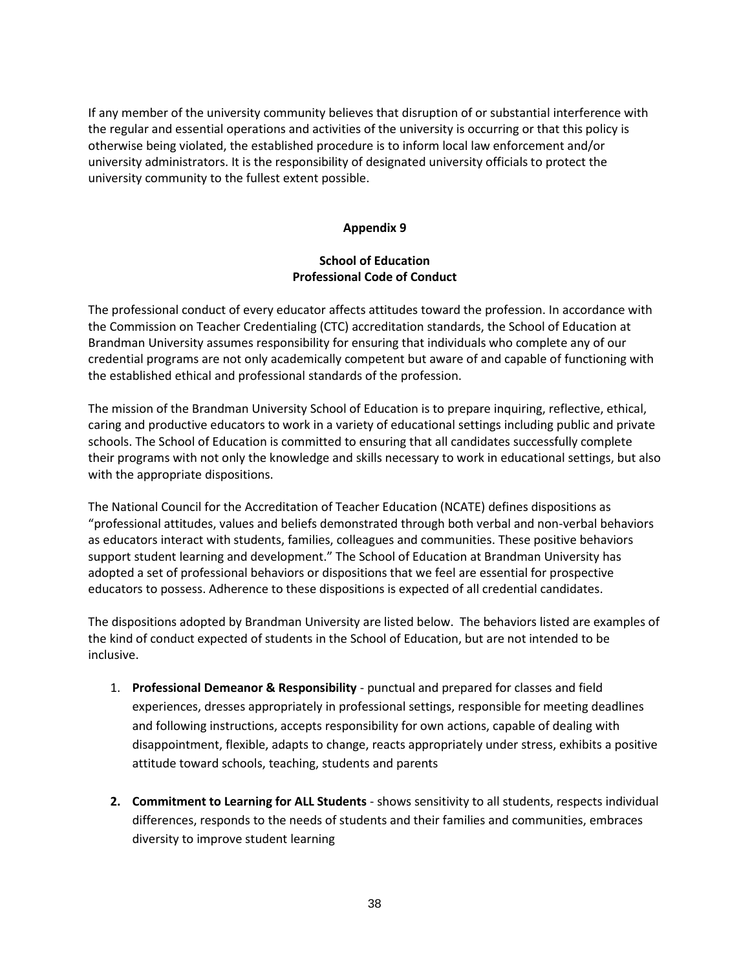If any member of the university community believes that disruption of or substantial interference with the regular and essential operations and activities of the university is occurring or that this policy is otherwise being violated, the established procedure is to inform local law enforcement and/or university administrators. It is the responsibility of designated university officials to protect the university community to the fullest extent possible.

#### **Appendix 9**

### **School of Education Professional Code of Conduct**

The professional conduct of every educator affects attitudes toward the profession. In accordance with the Commission on Teacher Credentialing (CTC) accreditation standards, the School of Education at Brandman University assumes responsibility for ensuring that individuals who complete any of our credential programs are not only academically competent but aware of and capable of functioning with the established ethical and professional standards of the profession.

The mission of the Brandman University School of Education is to prepare inquiring, reflective, ethical, caring and productive educators to work in a variety of educational settings including public and private schools. The School of Education is committed to ensuring that all candidates successfully complete their programs with not only the knowledge and skills necessary to work in educational settings, but also with the appropriate dispositions.

The National Council for the Accreditation of Teacher Education (NCATE) defines dispositions as "professional attitudes, values and beliefs demonstrated through both verbal and non-verbal behaviors as educators interact with students, families, colleagues and communities. These positive behaviors support student learning and development." The School of Education at Brandman University has adopted a set of professional behaviors or dispositions that we feel are essential for prospective educators to possess. Adherence to these dispositions is expected of all credential candidates.

The dispositions adopted by Brandman University are listed below. The behaviors listed are examples of the kind of conduct expected of students in the School of Education, but are not intended to be inclusive.

- 1. **Professional Demeanor & Responsibility**  punctual and prepared for classes and field experiences, dresses appropriately in professional settings, responsible for meeting deadlines and following instructions, accepts responsibility for own actions, capable of dealing with disappointment, flexible, adapts to change, reacts appropriately under stress, exhibits a positive attitude toward schools, teaching, students and parents
- **2. Commitment to Learning for ALL Students**  shows sensitivity to all students, respects individual differences, responds to the needs of students and their families and communities, embraces diversity to improve student learning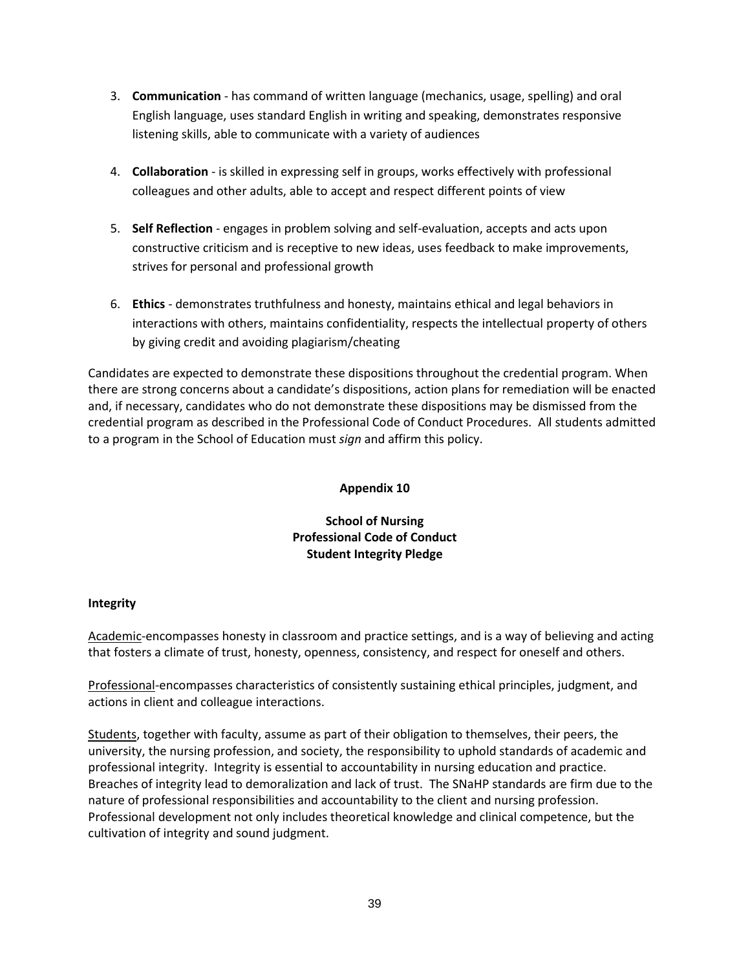- 3. **Communication**  has command of written language (mechanics, usage, spelling) and oral English language, uses standard English in writing and speaking, demonstrates responsive listening skills, able to communicate with a variety of audiences
- 4. **Collaboration**  is skilled in expressing self in groups, works effectively with professional colleagues and other adults, able to accept and respect different points of view
- 5. **Self Reflection**  engages in problem solving and self-evaluation, accepts and acts upon constructive criticism and is receptive to new ideas, uses feedback to make improvements, strives for personal and professional growth
- 6. **Ethics**  demonstrates truthfulness and honesty, maintains ethical and legal behaviors in interactions with others, maintains confidentiality, respects the intellectual property of others by giving credit and avoiding plagiarism/cheating

Candidates are expected to demonstrate these dispositions throughout the credential program. When there are strong concerns about a candidate's dispositions, action plans for remediation will be enacted and, if necessary, candidates who do not demonstrate these dispositions may be dismissed from the credential program as described in the Professional Code of Conduct Procedures. All students admitted to a program in the School of Education must *sign* and affirm this policy.

## **Appendix 10**

# **School of Nursing Professional Code of Conduct Student Integrity Pledge**

## **Integrity**

Academic-encompasses honesty in classroom and practice settings, and is a way of believing and acting that fosters a climate of trust, honesty, openness, consistency, and respect for oneself and others.

Professional-encompasses characteristics of consistently sustaining ethical principles, judgment, and actions in client and colleague interactions.

Students, together with faculty, assume as part of their obligation to themselves, their peers, the university, the nursing profession, and society, the responsibility to uphold standards of academic and professional integrity. Integrity is essential to accountability in nursing education and practice. Breaches of integrity lead to demoralization and lack of trust. The SNaHP standards are firm due to the nature of professional responsibilities and accountability to the client and nursing profession. Professional development not only includes theoretical knowledge and clinical competence, but the cultivation of integrity and sound judgment.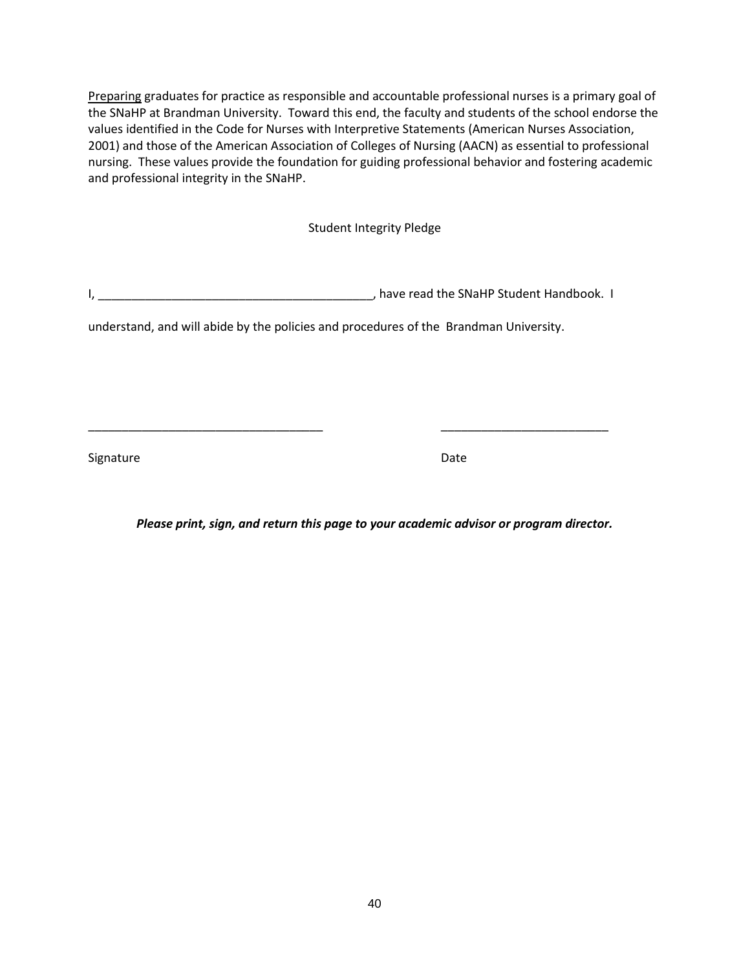Preparing graduates for practice as responsible and accountable professional nurses is a primary goal of the SNaHP at Brandman University. Toward this end, the faculty and students of the school endorse the values identified in the Code for Nurses with Interpretive Statements (American Nurses Association, 2001) and those of the American Association of Colleges of Nursing (AACN) as essential to professional nursing. These values provide the foundation for guiding professional behavior and fostering academic and professional integrity in the SNaHP.

Student Integrity Pledge

I, \_\_\_\_\_\_\_\_\_\_\_\_\_\_\_\_\_\_\_\_\_\_\_\_\_\_\_\_\_\_\_\_\_\_\_\_\_\_\_\_\_, have read the SNaHP Student Handbook. I

\_\_\_\_\_\_\_\_\_\_\_\_\_\_\_\_\_\_\_\_\_\_\_\_\_\_\_\_\_\_\_\_\_\_\_ \_\_\_\_\_\_\_\_\_\_\_\_\_\_\_\_\_\_\_\_\_\_\_\_\_

understand, and will abide by the policies and procedures of the Brandman University.

Signature Date Date Accounts and Date Date Date

*Please print, sign, and return this page to your academic advisor or program director.*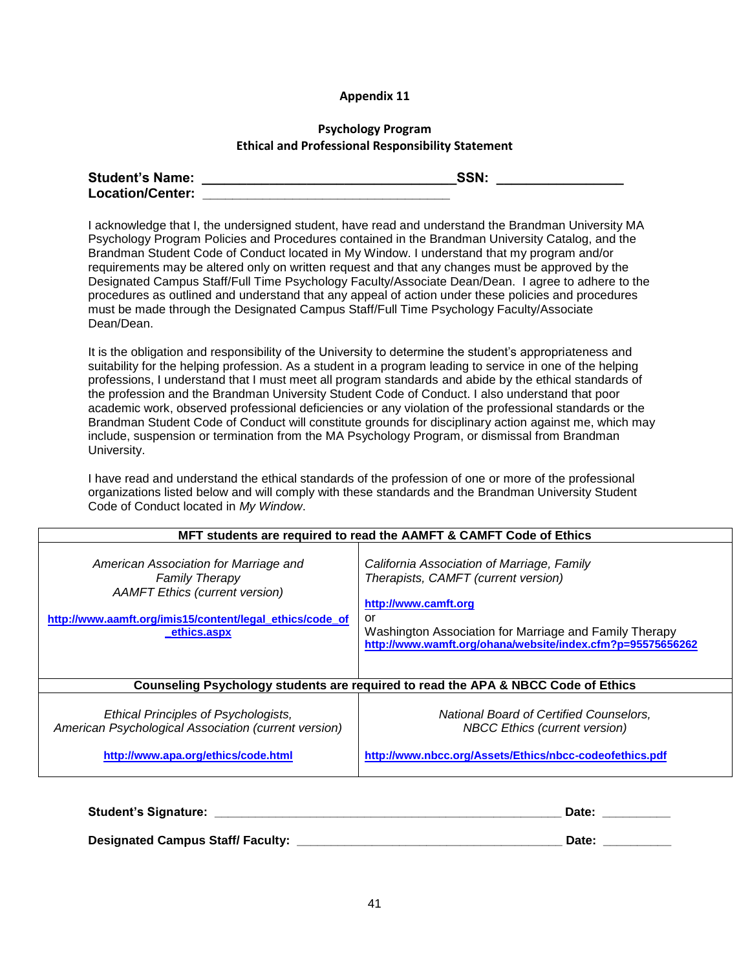#### **Appendix 11**

#### **Psychology Program Ethical and Professional Responsibility Statement**

| <b>Student's Name:</b>  | SSN. |  |
|-------------------------|------|--|
| <b>Location/Center:</b> |      |  |

I acknowledge that I, the undersigned student, have read and understand the Brandman University MA Psychology Program Policies and Procedures contained in the Brandman University Catalog, and the Brandman Student Code of Conduct located in My Window. I understand that my program and/or requirements may be altered only on written request and that any changes must be approved by the Designated Campus Staff/Full Time Psychology Faculty/Associate Dean/Dean. I agree to adhere to the procedures as outlined and understand that any appeal of action under these policies and procedures must be made through the Designated Campus Staff/Full Time Psychology Faculty/Associate Dean/Dean.

It is the obligation and responsibility of the University to determine the student's appropriateness and suitability for the helping profession. As a student in a program leading to service in one of the helping professions, I understand that I must meet all program standards and abide by the ethical standards of the profession and the Brandman University Student Code of Conduct. I also understand that poor academic work, observed professional deficiencies or any violation of the professional standards or the Brandman Student Code of Conduct will constitute grounds for disciplinary action against me, which may include, suspension or termination from the MA Psychology Program, or dismissal from Brandman University.

I have read and understand the ethical standards of the profession of one or more of the professional organizations listed below and will comply with these standards and the Brandman University Student Code of Conduct located in *My Window*.

| MFT students are required to read the AAMFT & CAMFT Code of Ethics                                                                                                                 |                                                                                                                                                                                                                                         |  |  |
|------------------------------------------------------------------------------------------------------------------------------------------------------------------------------------|-----------------------------------------------------------------------------------------------------------------------------------------------------------------------------------------------------------------------------------------|--|--|
| American Association for Marriage and<br><b>Family Therapy</b><br><b>AAMFT Ethics (current version)</b><br>http://www.aamft.org/imis15/content/legal_ethics/code_of<br>ethics.aspx | California Association of Marriage, Family<br>Therapists, CAMFT (current version)<br>http://www.camft.org<br>or<br>Washington Association for Marriage and Family Therapy<br>http://www.wamft.org/ohana/website/index.cfm?p=95575656262 |  |  |
| Counseling Psychology students are required to read the APA & NBCC Code of Ethics                                                                                                  |                                                                                                                                                                                                                                         |  |  |
| <b>Ethical Principles of Psychologists,</b><br>American Psychological Association (current version)<br>http://www.apa.org/ethics/code.html                                         | National Board of Certified Counselors,<br><b>NBCC Ethics (current version)</b><br>http://www.nbcc.org/Assets/Ethics/nbcc-codeofethics.pdf                                                                                              |  |  |
| Student's Signature: ____________                                                                                                                                                  | Date:                                                                                                                                                                                                                                   |  |  |